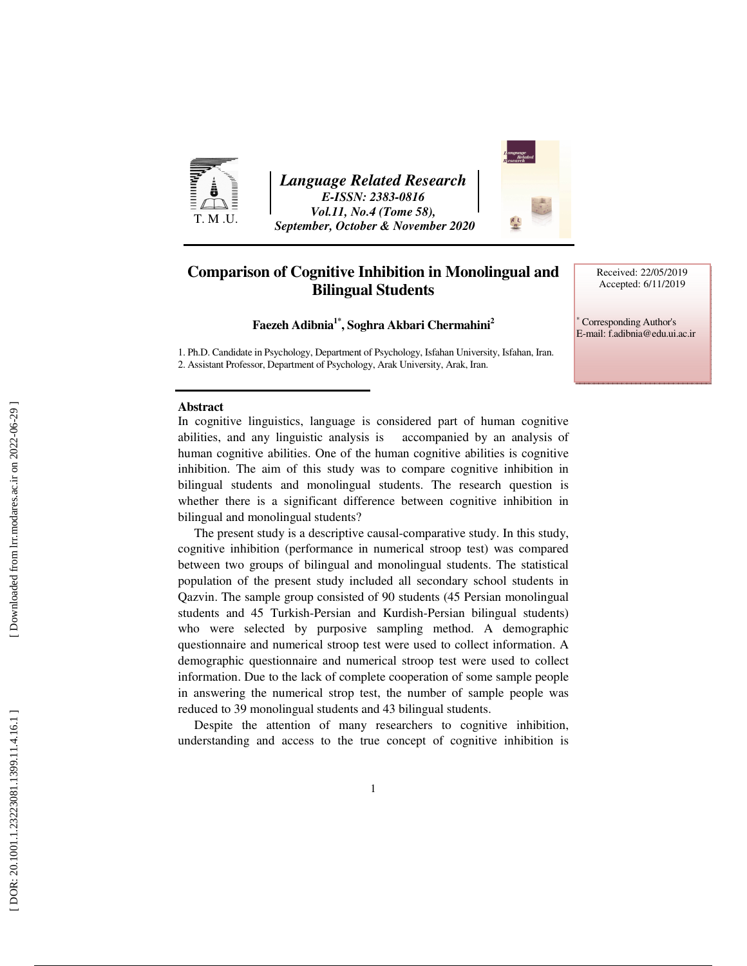

*Language Related Research E-ISSN: 2383-0816 Vol.11, No.4 (Tome 58), September, October & November 2020* 



# **Comparison of Cognitive Inhibition in Monolingual and Bilingual Students**

Received: 22/05/2019 Accepted: 6/11/2019

∗ Corresponding Author's E-mail: f.adibnia@edu.ui.ac.ir

**Faezeh Adibnia1\*, Soghra Akbari Chermahini<sup>2</sup>**

1. Ph.D. Candidate in Psychology, Department of Psychology, Isfahan University, Isfahan, Iran. 2. Assistant Professor, Department of Psychology, Arak University, Arak, Iran.

#### **Abstract**

In cognitive linguistics, language is considered part of human cognitive abilities, and any linguistic analysis is accompanied by an analysis of human cognitive abilities. One of the human cognitive abilities is cognitive inhibition. The aim of this study was to compare cognitive inhibition in bilingual students and monolingual students. The research question is whether there is a significant difference between cognitive inhibition in bilingual and monolingual students?

The present study is a descriptive causal-comparative study. In this study, cognitive inhibition (performance in numerical stroop test) was compared between two groups of bilingual and monolingual students. The statistical population of the present study included all secondary school students in Qazvin. The sample group consisted of 90 students (45 Persian monolingual students and 45 Turkish-Persian and Kurdish-Persian bilingual students) who were selected by purposive sampling method. A demographic questionnaire and numerical stroop test were used to collect information. A demographic questionnaire and numerical stroop test were used to collect information. Due to the lack of complete cooperation of some sample people in answering the numerical strop test, the number of sample people was reduced to 39 monolingual students and 43 bilingual students.

Despite the attention of many researchers to cognitive inhibition, understanding and access to the true concept of cognitive inhibition is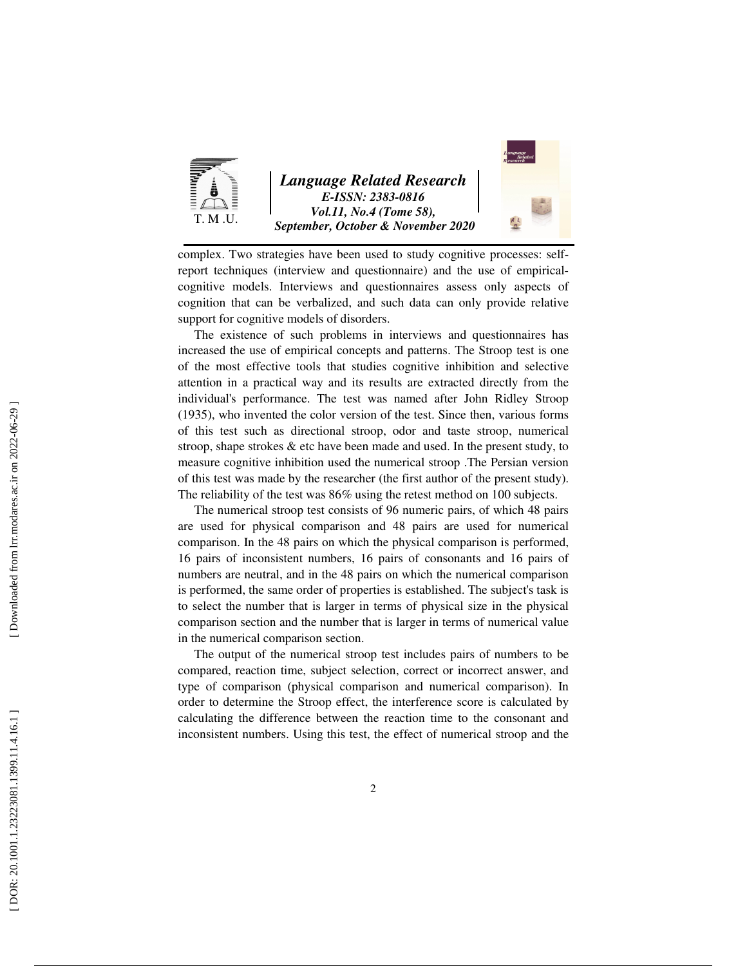

*Language Related Research E-ISSN: 2383-0816 Vol.11, No.4 (Tome 58), September, October & November 2020* 



complex. Two strategies have been used to study cognitive processes: selfreport techniques (interview and questionnaire) and the use of empiricalcognitive models. Interviews and questionnaires assess only aspects of cognition that can be verbalized, and such data can only provide relative support for cognitive models of disorders.

The existence of such problems in interviews and questionnaires has increased the use of empirical concepts and patterns. The Stroop test is one of the most effective tools that studies cognitive inhibition and selective attention in a practical way and its results are extracted directly from the individual's performance. The test was named after John Ridley Stroop (1935), who invented the color version of the test. Since then, various forms of this test such as directional stroop, odor and taste stroop, numerical stroop, shape strokes  $\&$  etc have been made and used. In the present study, to measure cognitive inhibition used the numerical stroop .The Persian version of this test was made by the researcher (the first author of the present study). The reliability of the test was 86% using the retest method on 100 subjects.

The numerical stroop test consists of 96 numeric pairs, of which 48 pairs are used for physical comparison and 48 pairs are used for numerical comparison. In the 48 pairs on which the physical comparison is performed, 16 pairs of inconsistent numbers, 16 pairs of consonants and 16 pairs of numbers are neutral, and in the 48 pairs on which the numerical comparison is performed, the same order of properties is established. The subject's task is to select the number that is larger in terms of physical size in the physical comparison section and the number that is larger in terms of numerical value in the numerical comparison section.

The output of the numerical stroop test includes pairs of numbers to be compared, reaction time, subject selection, correct or incorrect answer, and type of comparison (physical comparison and numerical comparison). In order to determine the Stroop effect, the interference score is calculated by calculating the difference between the reaction time to the consonant and inconsistent numbers. Using this test, the effect of numerical stroop and the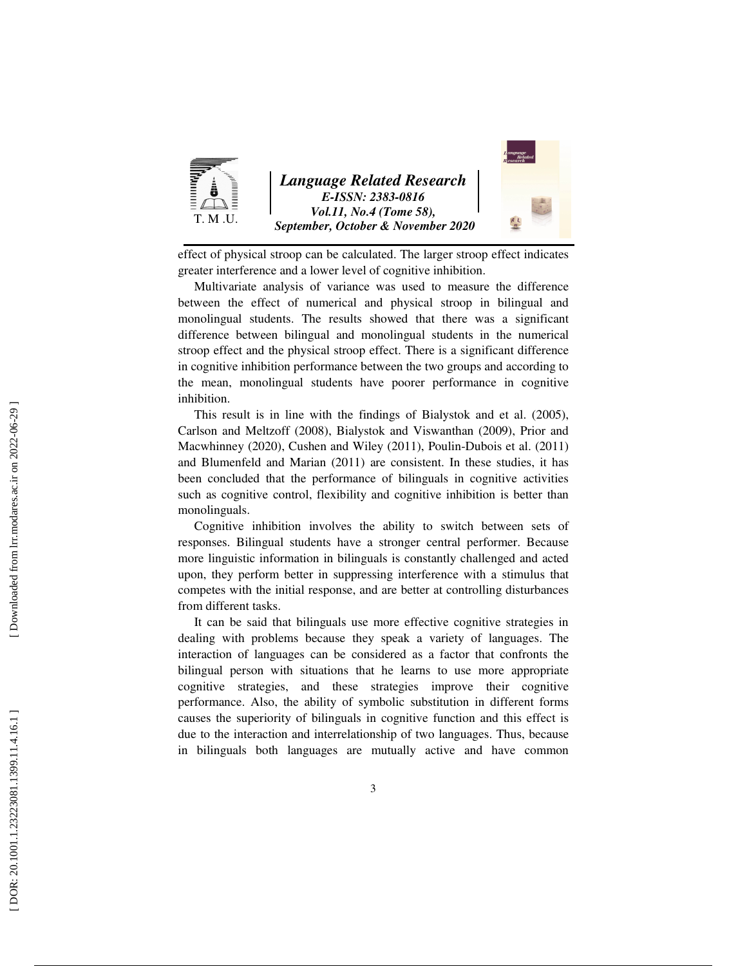

effect of physical stroop can be calculated. The larger stroop effect indicates greater interference and a lower level of cognitive inhibition.

Multivariate analysis of variance was used to measure the difference between the effect of numerical and physical stroop in bilingual and monolingual students. The results showed that there was a significant difference between bilingual and monolingual students in the numerical stroop effect and the physical stroop effect. There is a significant difference in cognitive inhibition performance between the two groups and according to the mean, monolingual students have poorer performance in cognitive inhibition.

This result is in line with the findings of Bialystok and et al. (2005), Carlson and Meltzoff (2008), Bialystok and Viswanthan (2009), Prior and Macwhinney (2020), Cushen and Wiley (2011), Poulin-Dubois et al. (2011) and Blumenfeld and Marian (2011) are consistent. In these studies, it has been concluded that the performance of bilinguals in cognitive activities such as cognitive control, flexibility and cognitive inhibition is better than monolinguals.

Cognitive inhibition involves the ability to switch between sets of responses. Bilingual students have a stronger central performer. Because more linguistic information in bilinguals is constantly challenged and acted upon, they perform better in suppressing interference with a stimulus that competes with the initial response, and are better at controlling disturbances from different tasks.

It can be said that bilinguals use more effective cognitive strategies in dealing with problems because they speak a variety of languages. The interaction of languages can be considered as a factor that confronts the bilingual person with situations that he learns to use more appropriate cognitive strategies, and these strategies improve their cognitive performance. Also, the ability of symbolic substitution in different forms causes the superiority of bilinguals in cognitive function and this effect is due to the interaction and interrelationship of two languages. Thus, because in bilinguals both languages are mutually active and have common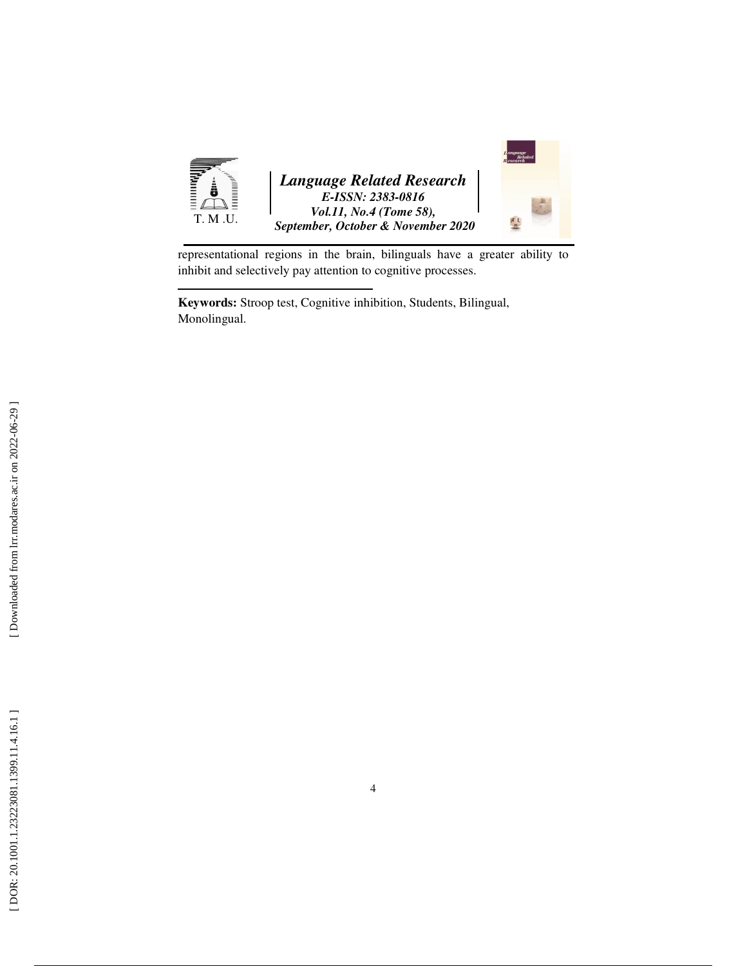

representational regions in the brain, bilinguals have a greater ability to inhibit and selectively pay attention to cognitive processes.

**Keywords:** Stroop test, Cognitive inhibition, Students, Bilingual, Monolingual.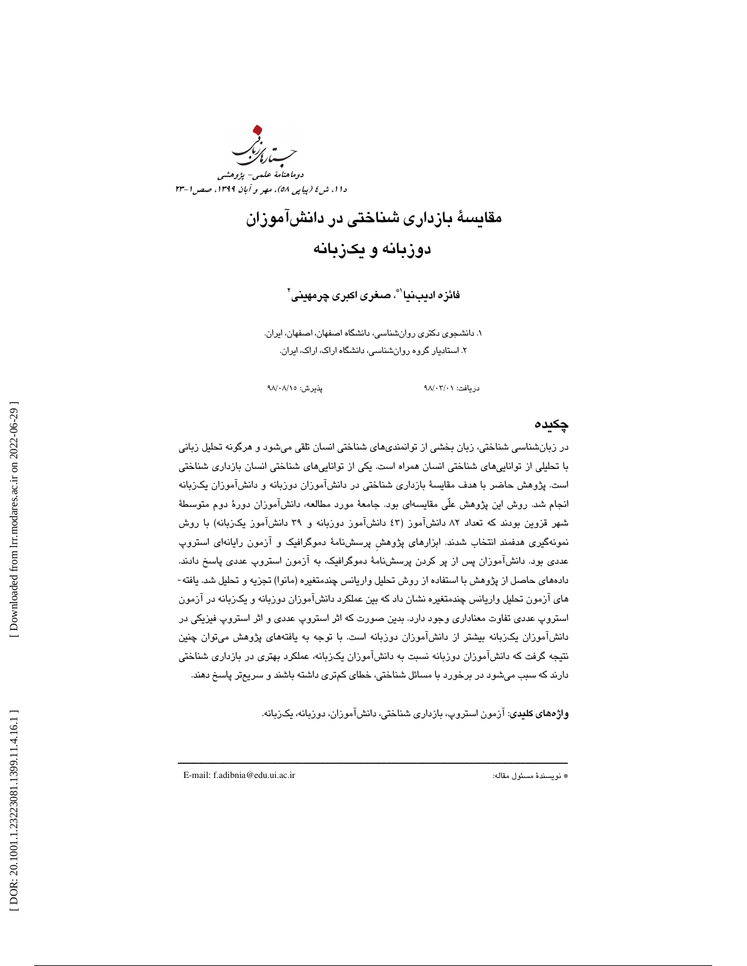

# مقايسة بازداري شناختي در دانشآموزان دوزبانه و يكزبانه

فائزه اديبنيا'®، صـغرى اكبرى چرمهينى'

1. دانشجوي دكتري روانشناسي، دانشگاه اصفهان، اصفهان، ايران. 2. استاديار گروه روانشناسي، دانشگاه اراك، اراك، ايران.

دريافت: 01/ 03/ 98 پذيرش: 15/ 08/ 98

## چكيده

 در زبانشناسي شناختي، زبان بخشي از توانمنديهاي شناختي انسان تلقي ميشود و هرگونه تحليل زباني با تحليلي از تواناييهاي شناختي انسان همراه است. يكي از تواناييهاي شناختي انسان بازداري شناختي است. پژوهش حاضر با هدف مقايسة بازداري شناختي در دانشآموزان دوزبانه و دانشآموزان يكزبانه انجام شد. روش اين پژوهش علّي مقايسهاي بود. جامعة مورد مطالعه، دانشآموزان دورة دوم متوسطة شهر قزوين بودند كه تعداد 82 دانشآموز ( 43 دانشآموز دوزبانه و 39 دانشآموز يكزبانه) با روش نمونهگيري هدفمند انتخاب شدند. ابزارهاي پژوهشِ پرسشنامة دموگرافيك و آزمون رايانهاي استروپ عددي بود. دانشآموزان پس از پر كردن پرسشنامة دموگرافيك، به آزمون استروپ عددي پاسخ دادند. دادههاي حاصل از پژوهش با استفاده از روش تحليل واريانس چندمتغيره ( مانوا) تجزيه و تحليل شد. يافته- هاي آزمون تحليل واريانس چندمتغيره نشان داد كه بين عملكرد دانشآموزان دوزبانه و يكزبانه در آزمون استروپ عددي تفاوت معناداري وجود دارد. بدين صورت كه اثر استروپ عددي و اثر استروپ فيزيكي در دانشآموزان يكزبانه بيشتر از دانشآموزان دوزبانه است. با توجه به يافتههاي پژوهش ميتوان چنين نتيجه گرفت كه دانشآموزان دوزبانه نسبت به دانشآموزان يكزبانه، عملكرد بهتري در بازداري شناختي دارند كه سبب ميشود در برخورد با مسائل شناختي، خطاي كمتري داشته باشند و سريعتر پاسخ دهند.

ــــــــــــــــــــــــــــــــــــــــــــــــــــــــــــــــــــــــــــــــــــــــــــــــــــــــــــــــــــــــــــــــــــــــــ

واژههاي كليدي: آزمون استروپ، بازداري شناختي، دانشآموزان، دوزبانه، يكزبانه .

E-mail: f.adibnia@edu.ui.ac.ir :مقاله مسئول نويسندة\*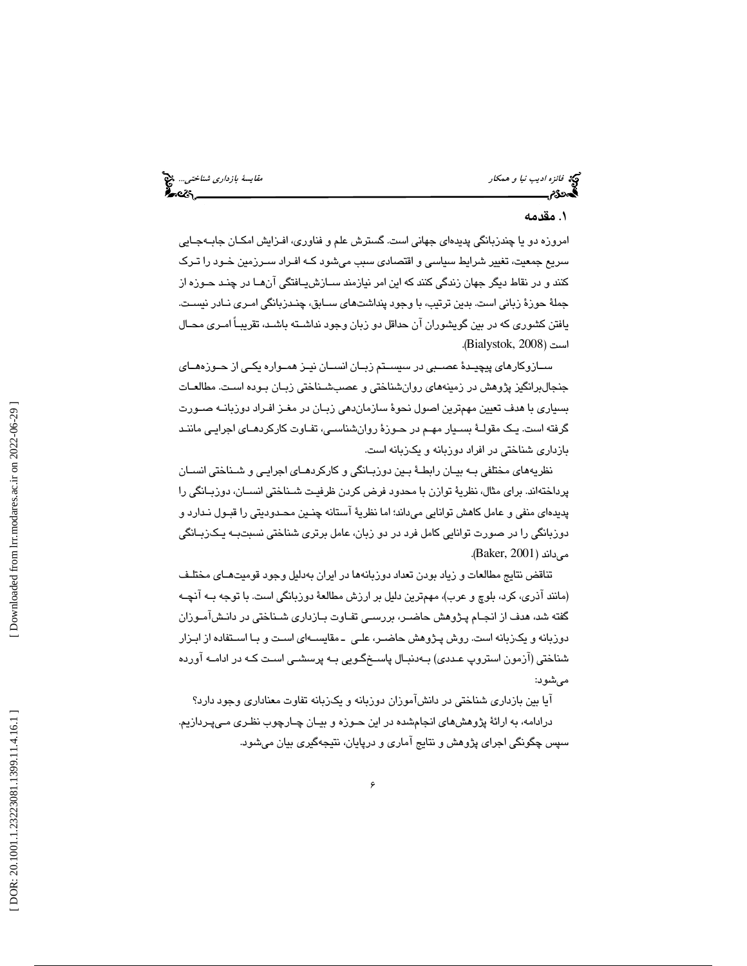### 1. مقدمه

امروزه دو يا چندزبانگي پديدهاي جهاني است. گسترش علم و فناوري، افـزايش امكـان جابـه جـايي سريع جمعيت، تغيير شرايط سياسي و اقتصادي سبب ميشود كـه افـراد سـرزمين خـود را تـرك كنند و در نقاط ديگر جهان زندگي كنند كه اين امر نيازمند سـازش يـافتگي آن هـا در چنـد حـوزه از جملهٔ حوزهٔ زبانی است. بدین ترتیب، با وجود پنداشتهای سـابق، چنـدزبانگی امـری نـادر نیسـت. يافتن كشوري كه در بين گويشوران آن حداقل دو زبان وجود نداشـته باشـد ، تقريبـاً امـري محـال .( Bialystok, 2008 است (

ســازوكارهاي پيچيــدة عصــبي در سيســتم زبــان انســان نيــز همــواره يكــي از حــوزههــاي جنجالبرانگيز پژوهش در زمينههاي روانشناختي و عصبشـناختي زبـان بـوده اسـت. مطالعـات بسياري با هدف تعيين مهمترين اصول نحوة سازماندهي زبـان در مغـز افـراد دوزبانـه صـورت گرفته است. يـك مقولـة بسـيار مهـم در حـوزة روانشناسـي، تفـاوت كاركردهـاي اجرايـي ماننـد بازداري شناختي در افراد دوزبانه و يكزبانه است.

نظريههاي مختلفي بـه بيـان رابطـ ة بـين دوزبـانگي و كاركردهـاي اجرايـي و شـناختي انسـان پرداختهاند. براي مثال، نظريهٔ توازن با محدود فرض كردن ظرفيـت شـناختي انســان، دوزبــانگي را پديدهاي منفي و عامل كاهش توانايي ميداند؛ اما نظري ة آستانه چنـين محـدوديتي را قبـول نـدارد و دوزبانگي را در صورت توانايي كامل فرد در دو زبان، عامل برتري شناختي نسبتبـه يـك زبـانگي مے داند ( Baker, 2001).

ضركان المواد المواد المواد المواد المواد المواد المواد المواد المواد المواد المواد المواد المواد المواد المواد<br>شيئا از انتهائها و تشكيل شد المواد المواد المواد المواد المواد المواد المواد المواد المواد المواد المواد الموا تناقض نتايج مطالعات و زياد بودن تعداد دوزبانهها در ايران بهدليل وجود قوميتهـاي مختلـف (مانند آذري، كرد، بلوچ و عرب)، مهمترين دليل بر ارزش مطالعهٔ دوزبانگي است. با توجه بـه آنچـه گفته شد، هدف از انجـام پـژوهش حاضــر، بررســی تفـاوت بــازداری شــناختی در دانـشآمــوزان دوزبانه و يكزبانه است. روش پـژوهش حاضـر، علـي ـ مقايسـه اي اسـت و بـا اسـتفاده از ابـزار شناختي (آزمون استروپ عـددي) بـه دنبـال پاسـخ گـويي بـه پرسشـ ي اسـت كـه در ادامـه آورده مے شو د:

ایا بین بازداری شناختی در دانش|موزان دوزبانه و یکزبانه تفاوت معناداری وجود دارد؟ درادامه ، به ارائة پژوهشهاي انجامشده در اين حـوزه و بيـان چـارچوب نظـري مـي پـردازيم. سپس چگونگي اجراي پژوهش و نتايج آماري و درپايان، نتيجهگيري بيان ميشود.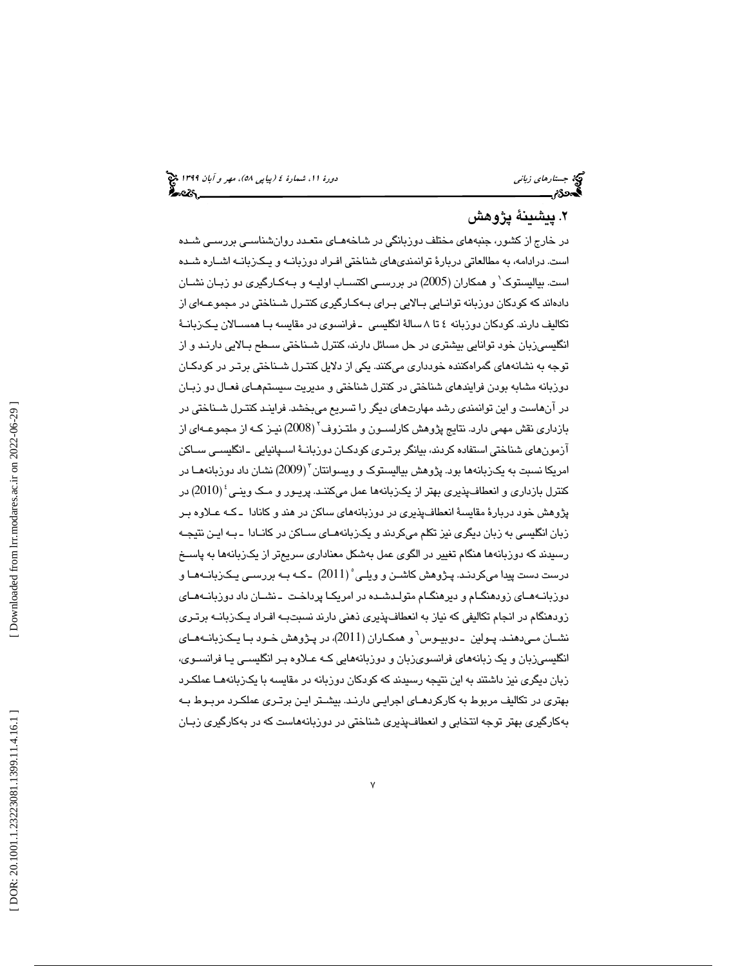# 2. پيشينة پژوهش

كبر بي تأسيد أكثر من المحافين المحافين المحافين المحافين المحافين المحافين المحافين المحافين المحافين المحافين<br>4. يتش**لينة ثباني دور**، جنبه المحافين المحافين المحافين المحافين المحافين المحافين المحافين المحافين المحافين در خارج از كشور، جنبههاي مختلف دوزبانگي در شاخههـاي متعـدد روان شناسـي بررسـي شـده است. درادامه ، به مطالعاتي دربارة توانمنديهاي شناختي افـراد دوزبانـه و يـك زبانـه اشـاره شـده است. بياليستوك 1 و همكاران (2005 ) در بررسـي اكتسـاب اوليـه و بـه كـارگيري دو زبـان نشـان دادهاند كه كودكان دوزبانه توانـايي بـالايي بـراي بـه كـارگيري كنتـرل شـ ناختي در مجموعـه اي از تكاليف دارند. كودكان دوزبانه ٤ تا ٨ سالهٔ انگليسي ـ فرانسوي در مقايسه بـا همسـالان يـكـزبانــهٔ انگليسيزبان خود توانايي بيشتري در حل مسائل دارند، كنترل شـناختي سـطح بـالايي دارنـد و از توجه به نشانههاي گمراهكننده خودداري ميكنند. يكي از دلايل كنتـرل شـناختي برتـر در كودكـان دوزبانه مشابه بودن فرايندهاي شناختي در كنترل شناختي و مديريت سيستمهـاي فعـال دو زبـان در آنهاست و اين توانمندي رشد مهارتهاي ديگر را تسريع ميبخشد. فراينـد كنتـرل شـناختي در بازداري نقش مهمي دارد. نتايج پژوهش كارلسـون و ملتـزوف 2 ( 2008) نيـز كـه از مجموعـه اي از آزمونهاي شناختي استفاده كردند ، بيانگر برتـري كودكـان دوزبانـ ة اسـپانيايي ـ انگليسـي سـاكن امریکا نسبت به یکزبانهها بود. پژوهش بیالیستوک و ویسوانتان ٔ (2009) نشان داد دوزبانههـا در كنترل بازداري و انعطافپذيري بهتر از يكزبانهها عمل ميكننـد. پريـور و مـك وينـي 4 ( 2010) در پژوهش خود دربارهٔ مقايسهٔ انعطافپذيري در دوزبانههاي ساكن در هند و كانادا ـ كـه عـلاوه بـر زبان انگليسي به زبان ديگري نيز تكلم ميكردند و يكـزبانههـاي ســاكن در كانــادا ـ بـه ايـن نتيجـه رسيدند كه دوزبانهها هنگام تغيير در الگوي عمل بهشكل معناداري سريعتر از يكزبانهها به پاسـخ درست دست پيدا میکردنـد. پـژوهش کاشــن و ويلــی $(2011)$  ـ کـه بـه بررســی يـکـرْبانــههــا و دوزبانـه هـاي زودهنگـام و ديرهنگـام متولـدشـده در امريكـا پرداخـت ـ نشـان داد دوزبانـههـاي زودهنگام در انجام تكاليفي كه نياز به انعطافپذيري ذهني دارند نسبتبـه افـراد يـكـزبانـه برتـري نشـان مـيدهنـد. پـولين ـ دوبيـوس 6 و همكـاران ( 2011)، در پـژوهش خـود بـا يـكزبانـههـاي انگليسيزبان و يك زبانههاي فرانسويزبان و دوزبانههايي كـه عـلاوه بـر انگليسـي يـا فرانسـوي، زبان ديگري نيز داشتند به اين نتيجه رسيدند كه كودكان دوزبانه در مقايسه با يكزبانههـا عملكـرد بهتري در تكاليف مربوط به كاركردهـاي اجرايـي دارنـد. بيشـتر ايـن برتـري عملكـرد مربـوط بـه 1 بهكارگيري بهتر توجه انتخابي و انعطافپذيري شناختي در دوزبانههاست كه در بهكارگيري زبـان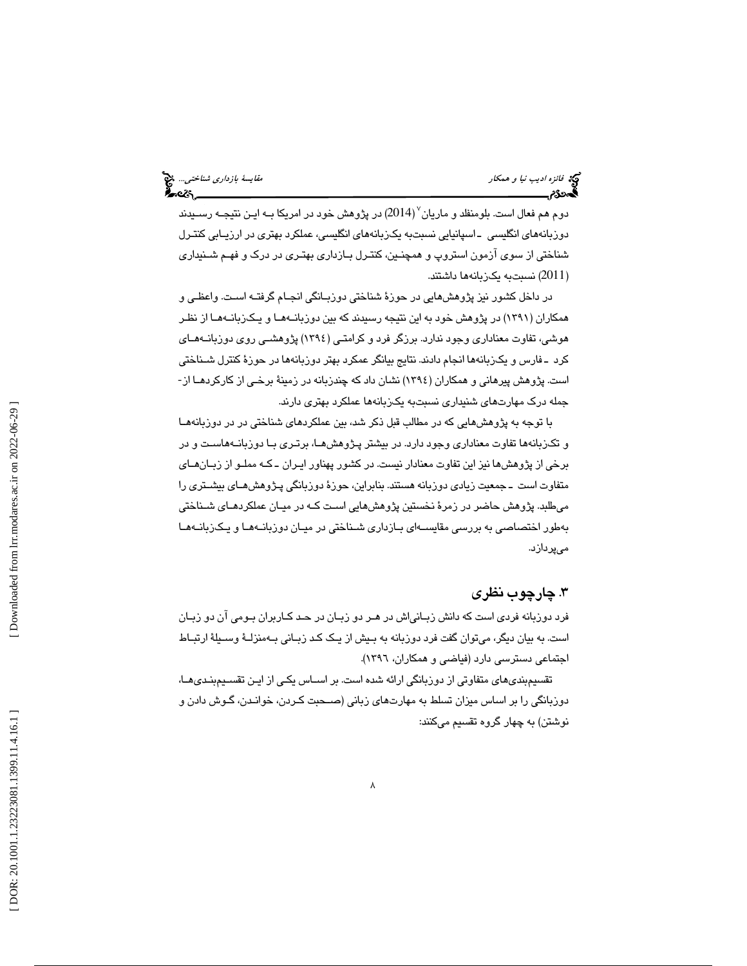دوم هم فعال است. بلومنفلد و ماریان<sup>۷</sup> (2014) در پژوهش خود در امریکا بــه ایـن نتیجــه رســیدند دوزبانههای انگلیسی ـ اسپانیایی نسبتبه یکربانههای انگلیسی، عملکرد بهتری در ارزیـابی کنتـرل شناختي از سوي آزمون استروپ و همچنـين ، كنتـرل بـازداري بهتـري در درك و فهـم شـنيداري 2011) نسبتبه يكزبانهها داشتند. )

در داخل كشور نيز پژوهشهايي در حوزة شناختي دوزبـانگي انجـام گرفتـه اسـت. واعظـي و همكاران (1391) در پژوهش خود به اين نتيجه رسيدند كه بين دوزبانـه هـا و يـك زبانـه هـا از نظـر هوشي، تفاوت معناداري وجود ندارد. برزگر فرد و كرامتـي ( 1394) پژوهشـي روي دوزبانـه هـاي كرد ـ فارس و يك زبانهها انجام دادند. نتايج بيانگر عمكرد بهتر دوزبانهها در حوزة كنترل شـناختي است. پژوهش پيرهاني و همكاران (1394) نشان داد كه چندزبانه در زمينة برخـي از كاركردهـا از - جمله درك مهارتهاي شنيداري نسبتبه يكزبانهها عملكرد بهتري دارند.

شكل من المبار المحكار المحكار المحكار المحكار المحكار المحكار المحكار المحكار المحكار المحكار المحكار المحكار <br>المحكار المحكار المحكار المحكار المحكار المحكار الكاش المحكار المحكار المحكار المحكار المحكار المحكار المحكار با توجه به پژوهشهايي كه در مطالب قبل ذكر شد، بين عملكردهاي شناختي در در دوزبانههـا و تكزبانهها تفاوت معناداري وجود دارد. در بيشتر پـژوهش هـا، برتـري بـا دوزبانـه هاسـت و در برخي از پژوهشها نيز اين تفاوت معنادار نيست. در كشور پهناور ايـران ـ كـه مملـو از زبـان هـاي متفاوت است ـ جمعيت زيادي دوزبانه هستند. بنابراين، حوزة دوزبانگي پـژوهش هـاي بيشـتري را ميطلبد. پژوهش حاضر در زمرة نخستين پژوهشهايي اسـت كـه در ميـان عملكردهـاي شـناختي بهطور اختصاصي به بررسي مقايسـه اي بـازداري شـناختي در ميـان دوزبانـه هـا و يـك زبانـه هـا ميپردازد.

# .3 چارچوب نظري

فرد دوزبانه فردي است كه دانش زبـاني اش در هـر دو زبـان در حـد كـاربران بـومي آن دو زبـان است . به بيان ديگر، ميتوان گفت فرد دوزبانه به بـيش از يـك كـد زبـاني بـه منزلـة وسـيلة ارتبـاط اجتماعي دسترسي دارد (فياضي و همكاران، 1396 ).

تقسيمبنديهاي متفاوتي از دوزبانگي ارائه شده است. بر اسـاس يكـي از ايـن تقسـيم بنـدي ،هـا دوزبانگي را بر اساس ميزان تسلط به مهارتهاي زباني (صـحبت كـردن، خوانـدن، گـوش دادن و نوشتن) به چهار گروه تقسيم ميكنند: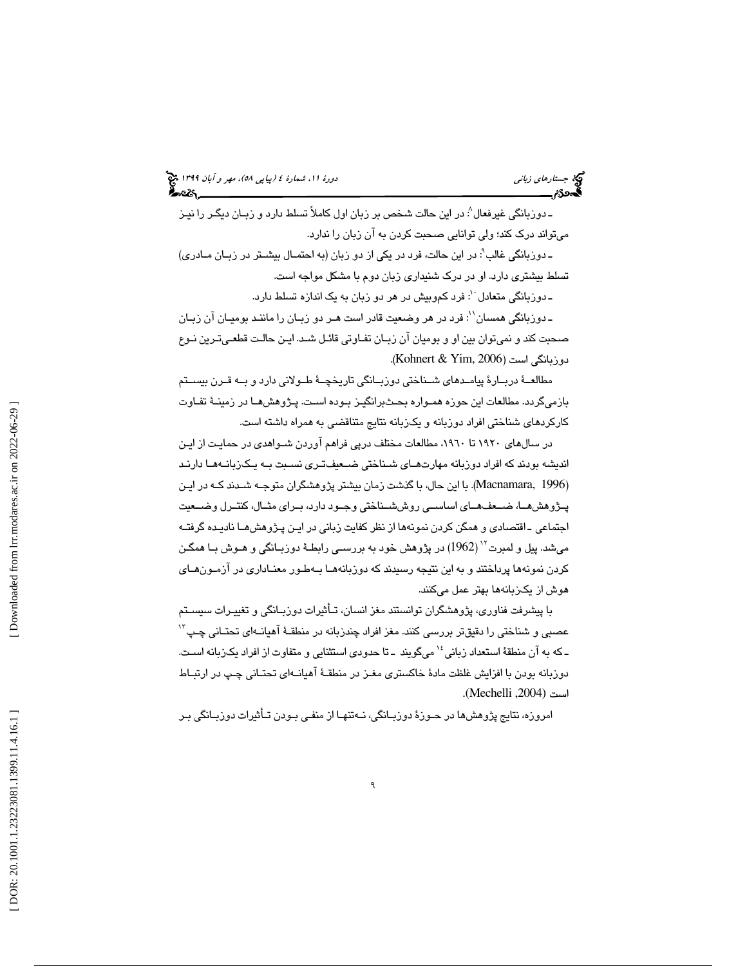ـ دوربانگی غیرفعال $\langle$ : در این حالت شخص بر زبان اول کاملاً تسلط دارد و زبـان دیگـر را نیـز ميتواند درك كند ؛ ولي توانايي صحبت كردن به آن زبان را ندارد.

ـ دوزبانگي غالب'ْ: در اين حالت، فرد در يكي از دو زبان (به احتمـال بيشـتر در زبـان مــادري) تسلط بيشتري دارد. او در درك شنيداري زبان دوم با مشكل مواجه است.

ـ دوزبانگی متعادل <sup>۰</sup>: فرد کموبیش در هر دو زبان به یک اندازه تسلط دارد.

ـ دوزبانگی همسان``: فرد در هر وضعیت قادر است هـر دو زبـان را ماننـد بومیـان آن زبـان صحبت كند و نميتوان بين او و بوميان آن زبـان تفـاوتي قائـل شـد. ايـن حالـت قطعـي تـرين نـوع دوزبانگي است (2006 ,Yim & Kohnert( .

مطالعــهٔ دربــارهٔ پيامــدهاي شــناختي دوزبــانگي تاريخچــهٔ طــولاني دارد و بــه قــرن بيســتم بازميگردد. مطالعات اين حوزه همـواره بحـث برانگيـز بـوده اسـت. پـژوهش هـا در زمينـ ة تفـاوت كاركردهاي شناختي افراد دوزبانه و يكزبانه نتايج متناقضي به همراه داشته است.

هرمند الدرد الذرائي الذرائي الذرائي الذرائي الذرائي الذرائي الذرائي الذرائي الذرائي الذرائي الذرائي الذرائي ال<br>شهر من زباني دائم الذرائي الذرائي الذرائي الذرائي الذرائي الذرائي الذرائي الذرائي الذرائي الذرائي الذرائي الذر در سالهاي 1920 تا ،1960 مطالعات مختلف درپي فراهم آوردن شـواهدي در حمايـت از ايـن انديشه بودند كه افراد دوزبانه مهارتهـاي شـناختي ضـعيف تـري نسـبت بـه يـك زبانـه هـا دارنـد (Macnamara, 1996). با این حال، با گذشت زمان بیشتر پژوهشگران متوجـه شـدند كـه در ایـن پــژوهشهــا، ضــعفهــاي اساســي روششــناختي وجــود دارد، بــراي مثــال ، كنتــرل وضــعيت اجتماعي ـ اقتصادي و همگن كردن نمونهها از نظر كفايت زباني در ايـن پـژوهش هـا ناديـده گرفتـ ه میشد. پیل و لمبرت<sup>۱٬</sup> (1962) در پژوهش خود به بررسـ*ي* رابطـهٔ دوزبـانگی و هــوش بــا همگــن كردن نمونهها پرداختند و به اين نتيجه رسيدند كه دوزبانههـا بـه طـور معنـ اداري در آزمـون هـاي هوش از يكزبانهها بهتر عمل ميكنند .

با پيشرفت فناوري، پژوهشگران توانستند مغز انسان، تـأ ثيرات دوزبـانگي و تغييـرات سيسـتم عصبي و شناختي را دقيقتر بررسي كنند. مغز افراد چندزبانه در منطقــهٔ آهيانــهاي تحتـاني چـپ<sup>۲٬</sup> ـ كه به آن منطقهٔ استعداد زباني<sup>،</sup> ` مىگويند ـ تا حدودى استثنايى و متفاوت از افراد يكزبانه اسـت. دوزبانه بودن با افزايش غلظت مادهٔ خاكستري مغـز در منطقـهٔ آهيانــهاي تحتـاني چـپ در ارتبـاط .(Mechelli ,2004 است (

امروزه، نتايج پژوهشها در حـوزهٔ دوزبـانگي، نــهتنهـا از منفـي بـودن تـأثيرات دوزبــانگي بـر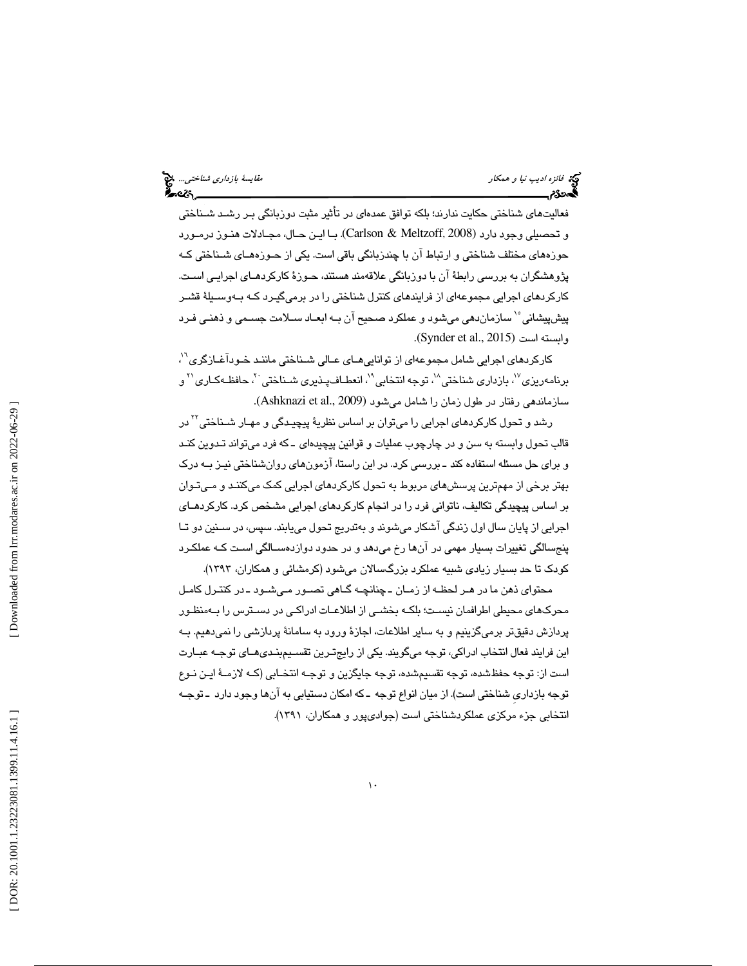# فائزه اديب نيا و همكار مقايسة بازداري شناختي...

فعاليتهاي شناختي حكايت ندارند ؛ بلكه توافق عمدهاي در تأثير مثبت دوزبانگي بـر رشـد شـناختي و تحصيلي وجود دارد (Carlson & Meltzoff, 2008). بـا ايـن حـال، مجـادلات هنـوز درمـورد حوزههاي مختلف شناختي و ارتباط آن با چندزبانگي باقي است. يكي از حـوزه هـاي شـناختي كـه پژوهشگران به بررسی رابطهٔ آن با دوزبانگی علاقهمند هستند، حـوزهٔ کارکردهـای اجرایـی اسـت. كاركردهاي اجرايي مجموعهاي از فرايندهاي كنترل شناختي را در برميگيـرد كـه بـه وسـيل ة قشـر پيشپيشاني <sup>ه (</sup> سازماند*هي* ميشود و عملكرد صحيح آن بـه ابعـاد ســلامت جسـمي و ذهنـي فـرد .(Synder et al., 2015 ) است وابسته

كاركردهاي اجرايي شامل مجموعهاي از توانايي هـاي عـالي شـناختي ماننـد خـودآغـازگري<sup>٦</sup>′، برنامەريزى<sup>٧</sup>، بازدارى شناختى^`، توجه انتخابى^'، انعطـافـپـذيرى شــناختى <sup>٢</sup>، حافظــهكـارى^`و .( Ashknazi et al., 2009 سازماندهي رفتار در طول زمان را شامل ميشود (

رشد و تحول کارکرد*ه*ای اجرایی را میتوان بر اساس نظریهٔ پیچیـدگی و مهـار شـناختی<sup>۲۲</sup> در قالب تحول وابسته به سن و در چارچوب عمليات و قوانين پيچيدهای ـ كه فرد ميتواند تـدوين كنـد و براي حل مسئله استفاده كند ـ بررسي كرد. در اين راستا، آزمونهاي روانشناختي نيـز بـه درك بهتر برخي از مهمترين پرسشهاي مربوط به تحول كاركردهاي اجرايي كمك ميكننـد و مـي تـوان بر اساس پيچيدگي تكاليف، ناتواني فرد را در انجام كاركردهاي اجرايي مشخص كرد. كاركردهـاي اجرايي از پايان سال اول زندگي آشكار ميشوند و بهتدريج تحول مييابند. سپس، در سـنين دو تـا پنجسالگي تغييرات بسيار مهمي در آنها رخ ميدهد و در حدود دوازدهسـالگي اسـت كـه عملكـرد كودك تا حد بسيار زيادي شبيه عملكرد بزرگسالان ميشود (كرمشائي و همكاران، 1393 ).

محتواي ذهن ما در هـر لحظـه از زمـان ـ چنانچـه گـاهي تصـور مـي شـود ـ در كنتـرل كامـل محركهاي محيطي اطرافمان نيسـت ؛ بلكـه بخشـي از اطلاعـات ادراكـي در دسـترس را بـه منظـور پردازش دقيقتر برميگزينيم و به ساير اطلاعات، اجازهٔ ورود به سامانهٔ پردازشي را نميدهيم. بـه اين فرايند فعال انتخاب ادراكي، توجه ميگويند. يكي از رايجتـرين تقسـيم بنـدي هـاي توجـه عبـارت است از: توجه حفظشده، توجه تقسيمشده، توجه جايگزين و توجـه انتخـابي (كـه لازمـة ايـن نـوع توجه بازداري شناختي است). از ميان انواع توجه ـ كه امكان دستيابي به آنها وجود دارد ـ توجـه انتخابي جزء مركزي عملكردشناختي است (جواديپور و همكاران، 1391 ).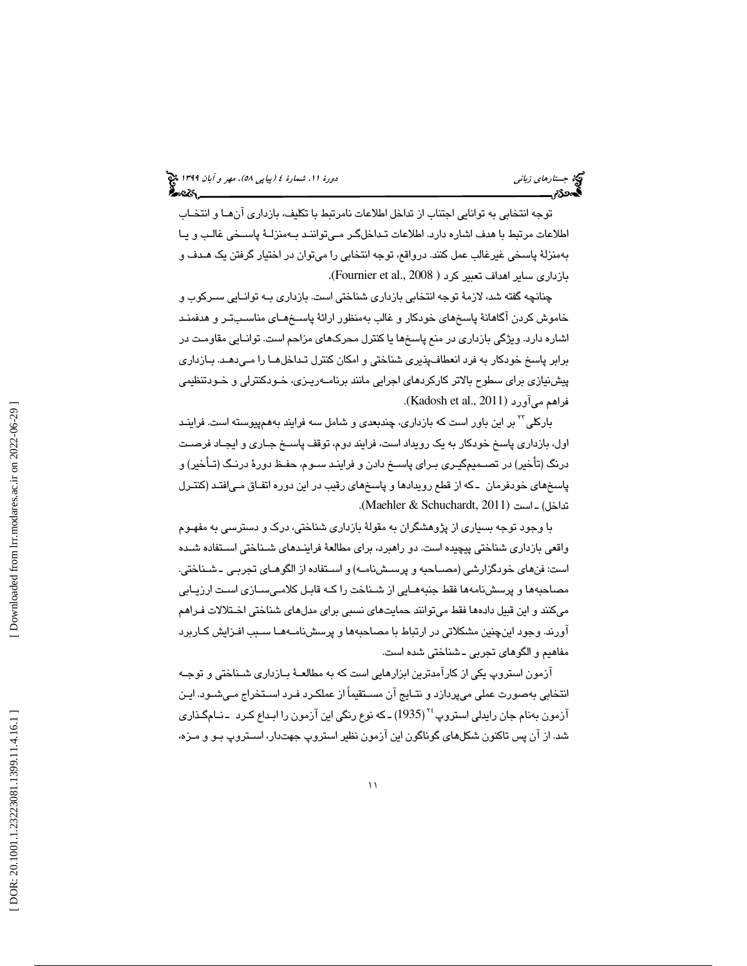توجه انتخابي به توانايي اجتناب از تداخل اطلاعات نامرتبط با تكليف، بازداري آنهـا و انتخـاب اطلاعات مرتبط با هدف اشاره دارد. اطلاعات تـداخل گـر مـيتو اننـد بـه منزلـة پاسـخي غالـب و يـا بهمنزلة پاسخي غيرغالب عمل كنند. درواقع ، توجه انتخابي را ميتوان در اختيار گرفتن يك هـدف و .(Fournier et al., 2008 بازداري ساير اهداف تعبير كرد (

چنانچه گفته شد، لازمهٔ توجه انتخابي بازداري شناختي است. بازداري بـه توانـايي سـركوب و خاموش كردن آگاهانهٔ پاسخهاي خودكار و غالب بهمنظور ارائهٔ پاسـخهـاي مناسـبـتـر و هدفمنـد اشاره دارد. ويژگي بازداري در منع پاسخها يا كنترل محركهاي مزاحم است. توانـايي مقاومـت در برابر پاسخ خودكار به فرد انعطافپذيري شناختي و امكان كنترل تـداخل هـا را مـي دهـد. بـا زداري پيشنيازي براي سطوح بالاتر كاركردهاي اجرايي مانند برنامـه ريـزي، خـودكنترلي و خـودتنظيمي .(Kadosh et al., 2011 ) ميآورد فراهم

بارکلي<sup>۲۲</sup> بر اين باور است که بازداري، چندبعدي و شامل سه فرايند بههمپيوسته است. فراينـد اول، بازداري پاسخ خودكار به يك رويداد است ، فرايند دوم، توقف پاسـخ جـاري و ايجـاد فرصـت درنگ (تأخير) در تصـميم گيـري بـراي پاسـخ دادن و فراينـد سـوم، حفـظ دور ة درنـگ (تـأخير) و پاسخهاي خودفرمان ـ كه از قطع رويدادها و پاسخهاي رقيب در اين دوره اتفـاق مـي افتـد (كنتـرل تداخل) ـ است (Maehler & Schuchardt, 2011).

با وجود توجه بسياري از پژوهشگران به مقول ة بازداري شناختي، درك و دسترسي به مفهـوم واقعي بازداري شناختي پيچيده است. دو راهبرد، براي مطالعهٔ فراينـدهاي شـناختي اسـتفاده شـده است: فنهاي خودگزارشي (مصـاحبه و پرسـش نامـه) و اسـتفاده از الگوهـاي تجربـي ـ شـناختي. مصاحبهها و پرسشنامهها فقط جنبههـايي از شـناخت را كـه قابـل كلامـي سـازي اسـت ارزيـابي ميكنند و اين قبيل دادهها فقط ميتوانند حمايتهاي نسبي براي مدلهاي شناختي اخـتلالات فـراهم آورند. وجود اينچنين مشكلاتي در ارتباط با مصاحبهها و پرسشنامـه هـا سـبب افـزايش كـاربرد مفاهيم و الگوهاي تجربي ـ شناختي شده است.

آزمون استروپ يكي از كارآمدترين ابزارهايي است كه به مطالعـهٔ بـازداری شـناختی و توجـه انتخابي به صورت عملي ميپردازد و نتـايج آن مسـتقيماً از عملكـرد فـرد اسـتخراج مـي شـود . ايـن آزمون بهنام جان رايدلي استروپ<sup>،۲</sup> (1935) ـ كه نوع رنگي اين آزمون را ابـداع كـرد ـ نـامِگـذاري شد. از آن پس تاكنون شكلهاي گوناگون اين آزمون نظير استروپ جهتدار، اسـتروپ بـو و مـزه،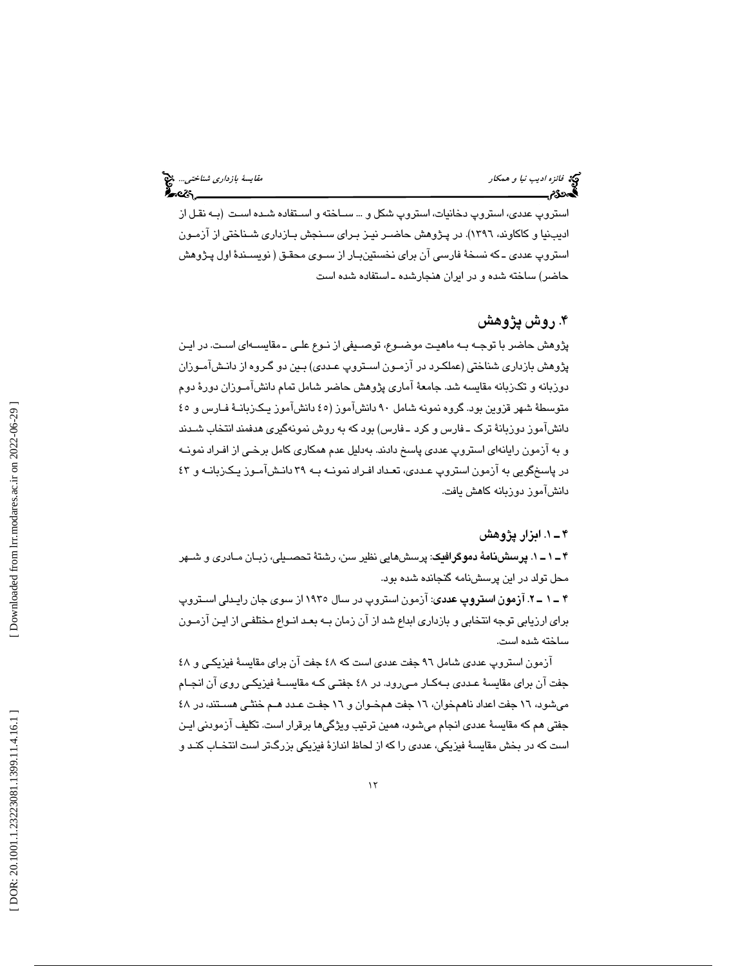# فائزه اديب نيا و همكار مقايسة بازداري شناختي...

استروپ عددي، استروپ دخانيات، استروپ شكل و ... سـاخته و اسـتفاده شـده اسـت (بـه نقـل از اديبنيا و كاكاوند، ١٣٩٦). در پـژوهش حاضــر نيـز بـرای سـنجش بــازداری شــناختی از ازمــون استروپ عددي ـ كه نسخة فارسي آن براي نخستينبـار از سـوي محقـق ( نويسـندة اول پـژوهش حاضر) ساخته شده و در ايران هنجارشده ـ استفاده شده است

# . 4 روش پژوهش

پژوهش حاضر با توجـه بـه ماهيـت موضـوع، توصـيفي از نـوع علـي ـ مقايسـه اي اسـت. در ايـن پژوهش بازداري شناختي (عملكـرد در آزمـون اسـتروپ عـددي) بـين دو گـروه از دانـش آمـوزان دوزبانه و تكزبانه مقايسه شد. جامع ة آماري پژوهش حاضر شامل تمام دانشآمـوزان دور ة دوم متوسطهٔ شهر قزوين بود. گروه نمونه شامل ۹۰ دانشآموز (٤٥ دانشآموز يـكـزبانــهٔ فــارس و ٤٥ دانشآموز دوزبانهٔ ترک ـ فارس و کرد ـ فارس) بود که به روش نمونهگیری هدفمند انتخاب شـدند و به آزمون رايانهاي استروپ عددي پاسخ دادند. بهدليل عدم همكاري كامل برخـي از افـراد نمونـه در پاسخگويي به آزمون استروپ عـددي، تعـداد افـراد نمونـه بـه ٣٩ دانـش آمـوز يـكـزبانـه و ٤٣ دانشآموز دوزبانه كاهش يافت.

## . 1ـ 4 ابزار پژوهش

1ـ 1ـ 4 . پرسشنام ة دموگرافيك: پرسشهايي نظير سن، رشت ة تحصـيلي، زبـان مـادري و شـهر محل تولد در اين پرسشنامه گنجانده شده بود.

آزمون استروپ عددي: آزمون استروپ در سال 1935 از سوي جان رايـدلي اسـتروپ 2ـ 1ـ 4 . براي ارزيابي توجه انتخابي و بازداري ابداع شد از آن زمان بـه بعـد انـواع مختلفـي از ايـن آزمـون ساخته شده است.

آزمون استروپ عددي شامل 96 جفت عددي است كه 48 جفت آن براي مقايسة فيزيكـي و 48 جفت آن براي مقايسة عـددي بـه كـار مـي رود. در 48 جفتـي كـه مقايسـة فيزيكـي روي آن انجـام ميشود، 16 جفت اعداد ناهمخوان، 16 جفت همخـوان و 16 جفـت عـدد هـم خنثـي هسـتند، در 48 جفتي هم كه مقايسة عددي انجام ميشود، همين ترتيب ويژگيها برقرار است. تكليف آزمودني ايـن است كه در بخش مقايسة فيزيكي، عددي را كه از لحاظ اندازة فيزيكي بزرگتر است انتخـاب كنـد و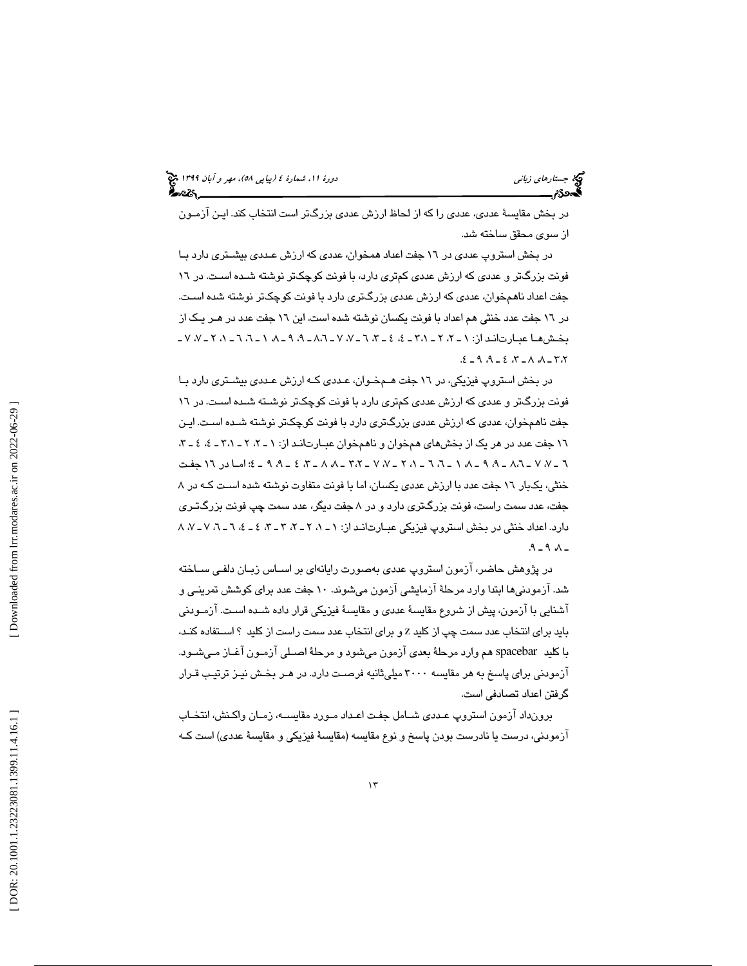در بخش مقايسة عددي، عددي را كه از لحاظ ارزش عددي بزرگتر است انتخاب كند. ايـن آزمـون از سوي محقق ساخته شد.

در بخش استروپ عددي در 16 جفت اعداد همخوان، عددي كه ارزش عـددي بيشـتري دارد بـا فونت بزرگتر و عددي كه ارزش عددي كمتري دارد، با فونت كوچكتر نوشته شـده اسـت . در 16 جفت اعداد ناهمخوان، عددي كه ارزش عددي بزرگتري دارد با فونت كوچكتر نوشته شده اسـت . در 16 جفت عدد خنثي هم اعداد با فونت يكسان نوشته شده است نيا . 16 جفت عدد در هـر يـك از بخـش هـا عبـارت انـد از: ـ ،2 2ـ 1 ـ ،7 7ـ ،6 3ـ ،4 4ـ 3،1 ـ ،7 7ـ ،2 1ـ ،6 6ـ ،1 8ـ ،9 9ـ 8،6  $4.8 - 0.4 - 0.7 - 0.9 - 0.9$ 

در بخش استروپ فيزيكي، در 16 جفت هـم خـوان، عـددي كـه ارزش عـددي بيشـتري دارد بـا فونت بزرگتر و عددي كه ارزش عددي كمتري دارد با فونت كوچكتر نوشـته شـده اسـت . در 16 جفت ناهمخوان، عددي كه ارزش عددي بزرگتري دارد با فونت كوچكتر نو شته شـده اسـت . ايـن ١٦ جفت عدد در هر يک از بخشهاي همخوان و ناهمخوان عبـارت انـد از: ١ ـ ٢، ٢ ـ ٣،١ - ٤، ٤ ـ ٣، ـ ،7 7ـ 6 8،6 ـ ،7 7ـ ،2 1ـ ،6 6ـ ،1 8ـ ،9 9ـ 3،2 ؛4ـ ،9 9ـ ،4 3ـ ،8 8ـ امـا در 16 جفـت خنثي، يكبار 16 جفت عدد با ارزش عددي يكسان، اما با فونت متفاوت نوشته شده اسـت كـه در 8 جفت، عدد سمت راست، فونت بزرگتري دارد و در 8 جفت ديگر، عدد سمت چپ فونت بزرگتـري دارد. اعداد خنثي در بخش استروپ فيزيكي عبـارت انـد از: ،8 7ـ ،7 6ـ ،6 4ـ ،4 3ـ ،3 2ـ ،2 1ـ 1  $-9 - 9 - -$ 

در پژوهش حاضر، آزمون استروپ عددي به صورت رايانهاي بر اسـاس زبـان دلفـي سـاخته شد. آزمودنيها ابتدا وارد مرحلهٔ آزمايشي آزمون ميشوند. ١٠ جفت عدد براي كوشش تمرينـي و آشنايي با آزمون، پيش از شروع مقايسهٔ عددي و مقايسهٔ فيزيكي قرار داده شـده اسـت. آزمـودني بايد برای انتخاب عدد سمت چپ از كليد z و برای انتخاب عدد سمت راست از كليد ؟ اســتفاده كنـد، با كليد spacebar هم وارد مرحلهٔ بعدي آزمون ميشود و مرحلهٔ اصـلي آزمـون آغـاز مـيشـود. آزمودني براي پاسخ به هر مقايسه 3000 ميليثانيه فرصـت دارد. در هـر بخـش نيـز ترتيـب قـرار گرفتن اعداد تصادفي است.

برونداد آزمون استروپ عـددي شـامل جفـت اعـداد مـورد مقايسـه، زمـان واكـنش، انتخـاب آزمودني، درست يا نادرست بودن پاسخ و نوع مقايسه (مقايسهٔ فيزيكي و مقايسهٔ عددي) است كـه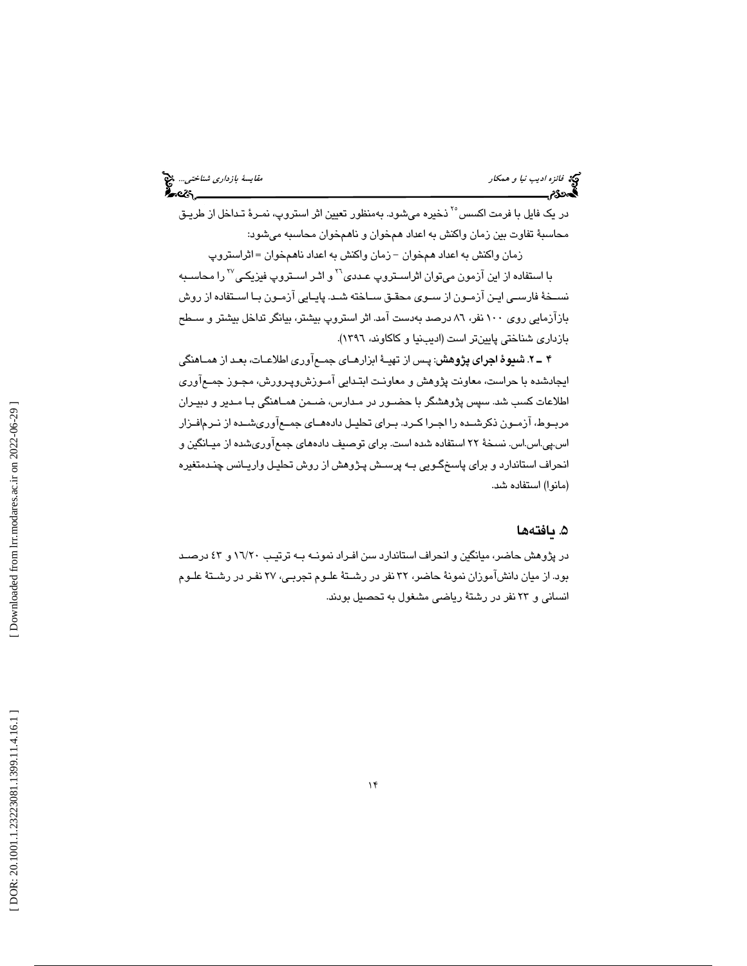| <i>مقا</i> یسهٔ <i>بازداری شناختی… چ</i> خ<br><b>منت</b> ابی |  |
|--------------------------------------------------------------|--|
|                                                              |  |

در يک فايل با فرمت اکسس<sup>°۲</sup> ذخيره ميشود. بهمنظور تعيين اثر استروپ، نمـرهٔ تـداخل از طريـق محاسبة تفاوت بين زمان واكنش به اعداد همخوان و ناهمخوان محاسبه ميشود:

زمان واكنش به اعداد همخوان - زمان واكنش به اعداد ناهمخوان = اثراستروپ با استفاده از اين آزمون مىتوان اثراسـتروپ عـددى'`` و اثـر اسـتروپ فيزيكـي'`` را محاسـبه نسـخة فارسـي ايـن آزمـون از سـوي محقـق سـاخته شـد. پايـايي آزمـون بـا اسـتفاده از روش بازآزمايي روي 100 نفر، 86 درصد به دست آمد. اثر استروپ بيشتر، بيانگر تداخل بيشتر و سـطح بازداري شناختي پايينتر است (اديبنيا و كاكاوند، 1396 ).

. 2ـ 4 شيو ة اجراي پژوهش: پـس از تهيـ ة ابزارهـاي جمـع آوري اطلاعـات، بعـد از همـاهنگي ايجادشده با حراست، معاونت پژوهش و معاونـت ابتـدايي آمـوزش وپـرورش، مجـوز جمـع آوري اطلاعات كسب شد. سپس پژوهشگر با حضـور در مـدارس ، ضـمن همـاهنگي بـا مـدير و دبيـران مربـوط، آزمـون ذكرشـده را اجـرا كـرد. بـراي تحليـل داده هــاي جمـعآوريشــده از نـرمافـزار اس.پي.اس.اس. نسخة 22 استفاده شده است. براي توصيف دادههاي جمعآوريشده از ميـانگين و انحراف استاندارد و براي پاسخگـويي بـه پرسـش پـژوهش از روش تحليـل واريـانس چنـدمتغيره (مانوا) استفاده شد.

## . 5 يافته ها

در پژوهش حاضر، ميانگين و انحراف استاندارد سن افـراد نمونـه بـه ترتيـب 20/ و 16 43 درصـد بود. از ميان دانشآموزان نمونهٔ حاضر، ٣٢ نفر در رشـتهٔ علـوم تجربـي، ٢٧ نفـر در رشـتهٔ علـوم انساني و ٢٣ نفر در رشتة رياضي مشغول به تحصيل بودند.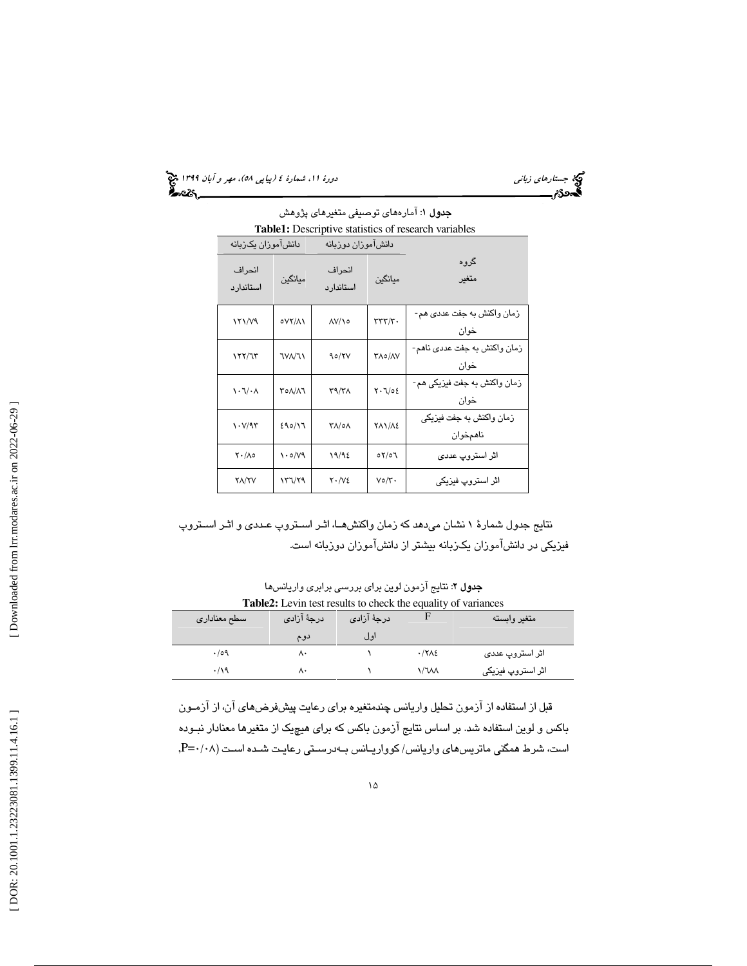(پياپي 58)، مهر و آبان 1399 جستارهاي زباني دورة ،11 شمارة 4

| <b>جدول ۱</b> : آمارههای توصیفی متغیرهای پژوهش       |                    |                      |                             |                                      |  |
|------------------------------------------------------|--------------------|----------------------|-----------------------------|--------------------------------------|--|
| Table1: Descriptive statistics of research variables |                    |                      |                             |                                      |  |
|                                                      | دانش!موزان یکزبانه |                      | دانش!موزان دوزبانه          |                                      |  |
| انحراف<br>استاندار د                                 | ميانگين            | انحراف<br>استاندار د | ميانگين                     | گروه<br>متغىر                        |  |
| <b>۱۲۱/۷۹</b>                                        | <b>077/11</b>      | <b>AV/10</b>         | rrrr/r.                     | زمان واکنش به جفت عددی هم-<br>خوان   |  |
| ۱۲۲/٦۳                                               | <b>TVA/T1</b>      | 90/۲۷                | <b>TA0/AV</b>               | زمان واکنش به جفت عددی ناهم-<br>خوان |  |
| $\lambda \cdot 7/\cdot \Lambda$                      | ٣٥٨/٨٦             | ۳۹/۳۸                | $Y \cdot \mathcal{L}/0 \xi$ | زمان واکنش به جفت فیزیکی هم-<br>خوان |  |
| $\mathcal{N}(\mathcal{A})$                           | 11/0/33            | ۸/۰۸ ک               | <b>TAN/AE</b>               | زمان واکنش به جفت فیزیکی<br>ناهمخوان |  |
| $Y \cdot / \Lambda$ 0                                | ۱۰۵/۷۹             | 19/92                | 07/07                       | اثر استروپ عددی                      |  |
| <b>YA/YV</b>                                         | ۱۳٦/۲۹             | $Y \cdot N2$         | ۷٥/۳۰                       | اڻر استروپ فيزيکي                    |  |

نتايج جدول شمارة 1 نشان ميدهد كه زمان واكنش هـا، اثـر اسـتروپ عـددي و اثـر اسـتروپ فيزيكي در دانشآموزان يكزبانه بيشتر از دانشآموزان دوزبانه است.

جدول 2: نتايج آزمون لوين براي بررسي برابري واريانس ها **Table2:** Levin test results to check the equality of variances

| سطح معناداري | درجهٔ آزادی | درجهٔ آزادی |              | متغير وابسته      |
|--------------|-------------|-------------|--------------|-------------------|
|              | دوم         | اول         |              |                   |
| .109         | ۸۰          |             | $\cdot$ /۲۸٤ | اثر استروپ عددی   |
| .19          | ۸۰          |             | ۱/٦٨٨        | اثر استروپ فیزیکی |

قبل از استفاده از آزمون تحليل واريانس چندمتغيره براي رعايت پيشفرضهاي آن، از آزمـون باكس و لوين استفاده شد. بر اساس نتايج آزمون باكس كه براي هيچيک از متغيرها معنادار نبـوده است، شرط همگني ماتريسهاي واريانس/ كوواريـانس بـه درسـتي رعايـت شـده اسـت ( 08/0 =P,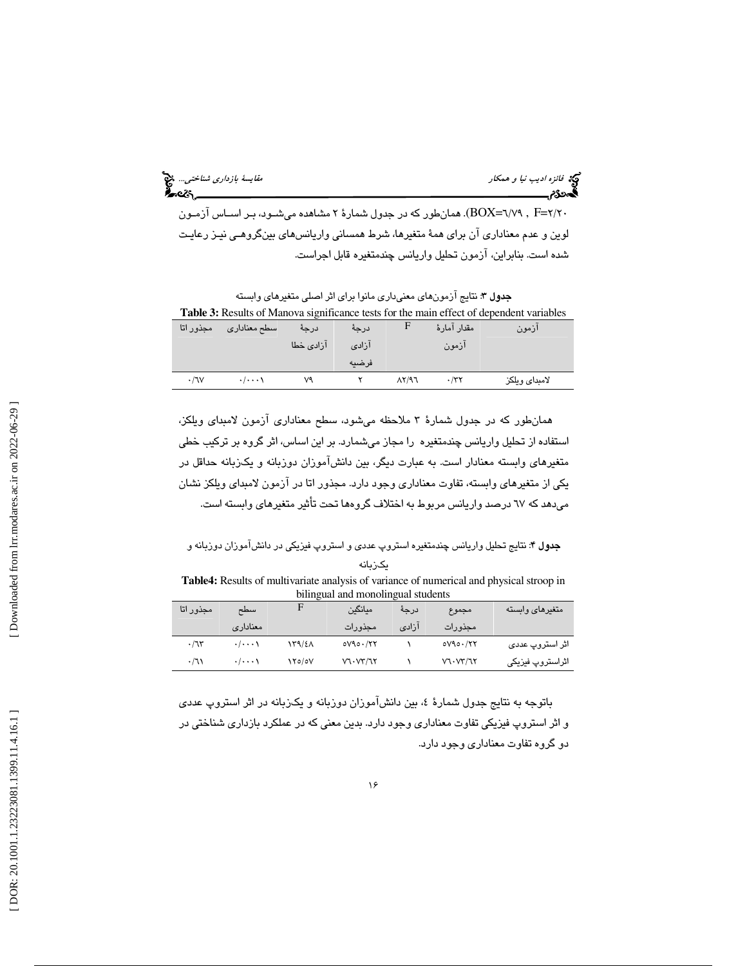فيخ ف*ائزه اديب نيا و همكار مقتصد بازداري شناختي..*. فيخ<br>الصحافة بازداري شناختي...<br>**الص**حافة بازداري مقايسة بازداري شناختير مقايسة بازداري شناختير بازداري شناختير بازداري شناختير بازداري شناختير

20/2 =F , 79/6= BOX(. همانطور كه در جدول شمارة 2 مشاهده ميشـود ، بـر اسـاس آزمـون لوين و عدم معناداري آن براي همهٔ متغيرها، شرط همساني واريانسهاي بينگروهـي نيـز رعايـت شده است . بنابراين ، آزمون تحليل واريانس چندمتغيره قابل اجراست.

جدول 3: نتايج آزمونهاي معنيداري مانوا براي اثر اصلي متغيرهاي وابسته **Table 3:** Results of Manova significance tests for the main effect of dependent variables

| مجذور اتا | سطح معناداري                | درجة      | درجة  |                | مقدار آمارهٔ | ازمون         |
|-----------|-----------------------------|-----------|-------|----------------|--------------|---------------|
|           |                             | آزادی خطا | آزادی |                | ازمون        |               |
|           |                             |           | فرضيه |                |              |               |
| .7V       | $\cdot$ / $\cdot$ $\cdot$ \ | ٧٩        |       | $\Lambda$ Y/97 | $\cdot$ /۳۲  | لامبداي ويلكز |

همانطور كه در جدول شمارة 3 ملاحظه ميشود ، سطح معن ا داري آزمون لامبداي ويلكز، استفاده از تحليل واريانس چندمتغيره را مجاز ميشمارد. بر اين اساس، اثر گروه بر تركيب خطي متغيرهاي وابسته معنادار است. به عبارت ديگر، بين دانشآموزان دوزبانه و يكزبانه حداقل در يكي از متغيرهاي وابسته، تفاوت معناداري وجود دارد. مجذور اتا در آزمون لامبداي ويلكز نشان ميدهد كه 67 درصد واريانس مربوط به اختلاف گروهها تحت تأثير متغيرهاي وابسته است.

جدول 4: نتايج تحليل واريانس چندمتغيره استروپ عددي و استروپ فيزيكي در دانشآموزان دوزبانه و يكزبانه

**Table4:** Results of multivariate analysis of variance of numerical and physical stroop in bilingual and monolingual students

| متغيرهاي وابسته  | مجموع       | درجة  | ميانگين     |               | سطح                         | مجذور اتا   |
|------------------|-------------|-------|-------------|---------------|-----------------------------|-------------|
|                  | مجذورات     | آزادی | مجذورات     |               | معنادارى                    |             |
| اثر استروپ عددی  | $oVAo.$ /۲۲ |       | $oVAo.$ /۲۲ | 13/12         | $\cdot$ / $\cdot$ $\cdot$ \ | .77         |
| اثراستروپ فیزیکی | V1. VY/1Y   |       | V1. VY/1Y   | <b>۱۲۰/0۷</b> | $\cdot$ / $\cdot$ $\cdot$ \ | $\cdot$ /٦١ |

باتوجه به نتايج جدول شمارة 4 ، بين دانشآموزان دوزبانه و يكزبانه در اثر استروپ عددي و اثر استروپ فيزيكي تفاوت معناداري وجود دارد. بدين معني كه در عملكرد بازداري شناختي در دو گروه تفاوت معناداري وجود دارد.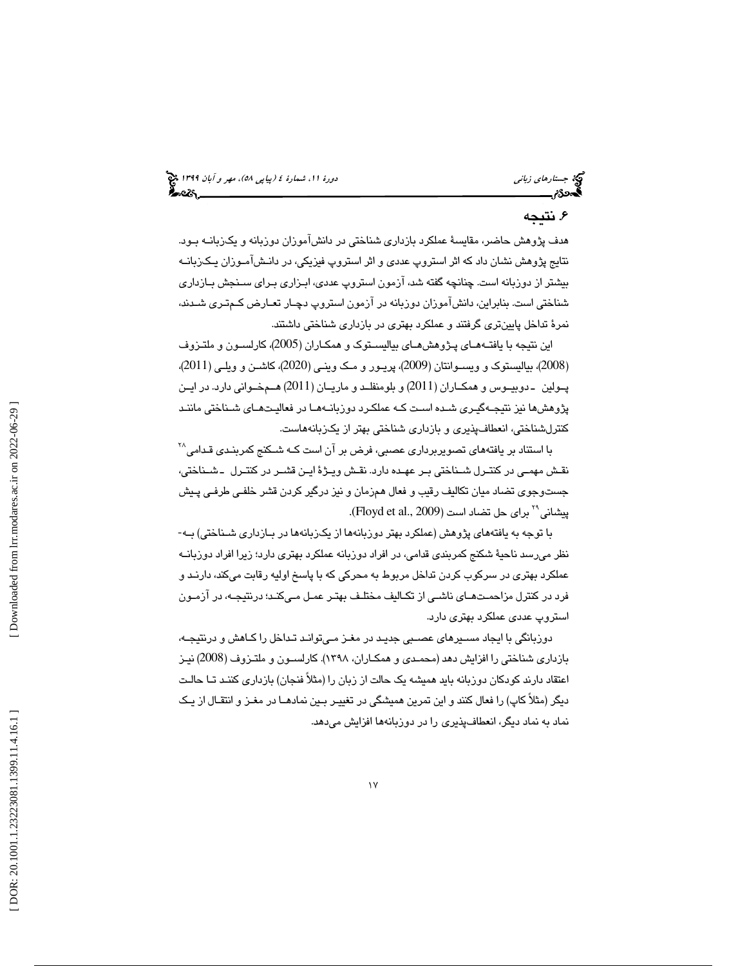# . 6 نتيجه

هدف پژوهش حاضر، مقايس ة عملكرد بازداري شناختي در دانشآموزان دوزبانه و يكزبانـه بـود. نتايج پژوهش نشان داد كه اثر استروپ عددي و اثر استروپ فيزيكي، در دانـش آمـوزان يـك زبانـه بيشتر از دوزبانه است. چنانچه گفته شد ، آزمون استروپ عددي، ابـزاري بـراي سـنجش بـازداري شناختي است . بنابراين ، دانشآموزان دوزبانه در آزمون استروپ دچـار تعـارض كـم تـري شـدند، نمر ة تداخل پايينتري گرفتند و عملكرد بهتري در بازداري شناختي داشتند.

اين نتيجه با يافتــهـمـاي پـژوهش،مـاي بياليســتوک و همکــاران (2005)، کارلســون و ملتــزوف 2008)، بياليستوك و ويسـوانتان ( 2009)، پريـور و مـك وينـي ( 2020 )، كاشـن و ويلـي ( 2011)، ) پــولين ـ دوبيــوس و همكــاران ( 2011) و بلومنفلــد و ماريــان (2011) هــمخــواني دارد. در ايــن پژوهشها نيز نتيجـه گيـري شـده اسـت كـه عملكـرد دو زبانـه هـا در فعاليـت هـاي شـناختي ماننـد كنترلشناختي، انعطافپذيري و بازداري شناختي بهتر از يكزبانههاست.

با استناد بر یافتههای تصویربرداری عصبی، فرض بر آن است كـه شـكنج كمربنـدی قـدامی $^{\wedge \wedge}$ نقـش مهمـي در كنتـرل شـناختي بـر عهـده دارد. نقـش ويـژ ةايـن قشـر در كنتـرل ـ شـناختي، جست<code>وجوی</code> تضاد میان تکالیف رقیب و فعال همزمان و نیز درگیر کردن قشر خلفـی طرفـی پـیش پیشانی°<sup>۲</sup> برای حل تضاد است (Floyd et al., 2009).

با توجه به يافتههاي پژوهش (عملكرد بهتر دوزبانهها از يكزبانهها در بـازداري شـناختي) بـه - نظر ميرسد ناحية شكنج كمربندي قدامي، در افراد دوزبانه عملكرد بهتري دارد؛ زيرا افراد دوزبانـه عملكرد بهتري در سركوب كردن تداخل مربوط به محركي كه با پاسخ اوليه رقابت ميكند، دارنـد و فرد در كنترل مزاحمـت هـاي ناشـي از تكـاليف مختلـف بهتـر عمـل مـي كنـد ؛ درنتيجـه ، در آزمـون استروپ عددي عملكرد بهتري دارد.

دوزبانگي با ايجاد مسـ يرهاي عصـبي جديـد در مغـز مـي توانـد تـداخل را كـاهش و درنتيجـه ، بازداري شناختي را افزايش دهد (محمـدي و همكـاران ، 1398). كارلسـون و ملتـزوف ( 2008) نيـز اعتقاد دارند كودكان دوزبانه بايد هميشه يك حالت از زبان را (مثلاً فنجان) بازداري كننـد تـا حالـت ديگر (مثلاً كاپ) را فعال كنند و اين تمرين هميشگي در تغييـر بـين نمادهـا در مغـز و انتقـال از يـك نماد به نماد ديگر، انعطافپذيري را در دوزبانهها افزايش ميدهد.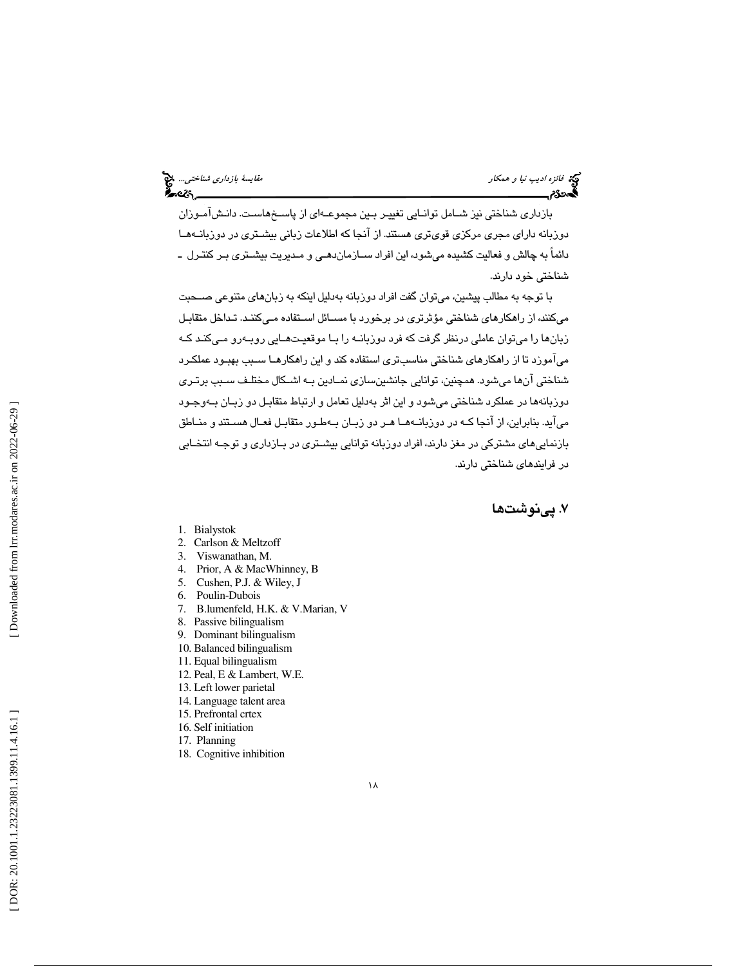# فيخ فائزه *اديب نيا و همكار مقايسة بارداري شناختي..*. فيخ<br>الصحافة<br>**الصحافة**م

بازداري شناختي نيز شـامل توانـايي تغييـر بـين مجموعـه اي از پاسـخ هاسـت. دانـش آمـوزان دوزبانه داراي مجري مركزي قويتري هستند . از آنجا كه اطلاعات زباني بيشـتري در دوزبانـه هـا دائماً به چالش و فعاليت كشيده ميشود ، اين افراد سـازمان دهـي و مـديريت بيشـتري بـر كنتـرل ـ شناختي خود دارند.

با توجه به مطالب پيشين ، ميتوان گفت افراد دوزبانه بهدليل اينكه به زبانهاي متنوعي صـحبت ميكنند ، از راهكارهاي شناختي مؤثرتري در برخورد با مسـائل اسـتفاده مـي كننـد. تـداخل متقابـل زبانها را ميتوان عاملي درنظر گرفت كه فرد دوزبانـه را بـا موقعيـت هـايي روبـه رو مـي كنـد كـه ميآموزد تا از راهكارهاي شناختي مناسبتري استفاده كند و اين راهكارهـا سـبب بهبـود عملكـرد شناختي آنها ميشود. همچنين ، توانايي جانشينسازي نمـادين بـه اشـكال مختلـف سـبب برتـري دوزبانهها در عملكرد شناختي ميشود و اين اثر بهدليل تعامل و ارتباط متقابـل دو زبـان بـه وجـود ميآيد. بنابراين، از آنجا كـه در دوزبانــههـا هـر دو زبـان بـهطـور متقابـل فعـال هسـتند و منـاطق بازنماييهاي مشتركي در مغز دارند، افراد دوزبانه توانايي بيشـتري در بـازداري و توجـه انتخـابي در فرايندهاي شناختي دارند.

7. پي ها نوشت

- 1. Bialystok
- 2. Carlson & Meltzoff
- 3. Viswanathan, M.
- 4. Prior, A & MacWhinney, B
- 5. Cushen, P.J. & Wiley, J
- 6. Poulin-Dubois
- 7. B.lumenfeld, H.K. & V.Marian, V
- 8. Passive bilingualism
- 9. Dominant bilingualism
- 10. Balanced bilingualism
- 11. Equal bilingualism
- 12. Peal, E & Lambert, W.E.
- 13. Left lower parietal
- 14. Language talent area
- 15. Prefrontal crtex
- 16. Self initiation
- 17. Planning
- 18. Cognitive inhibition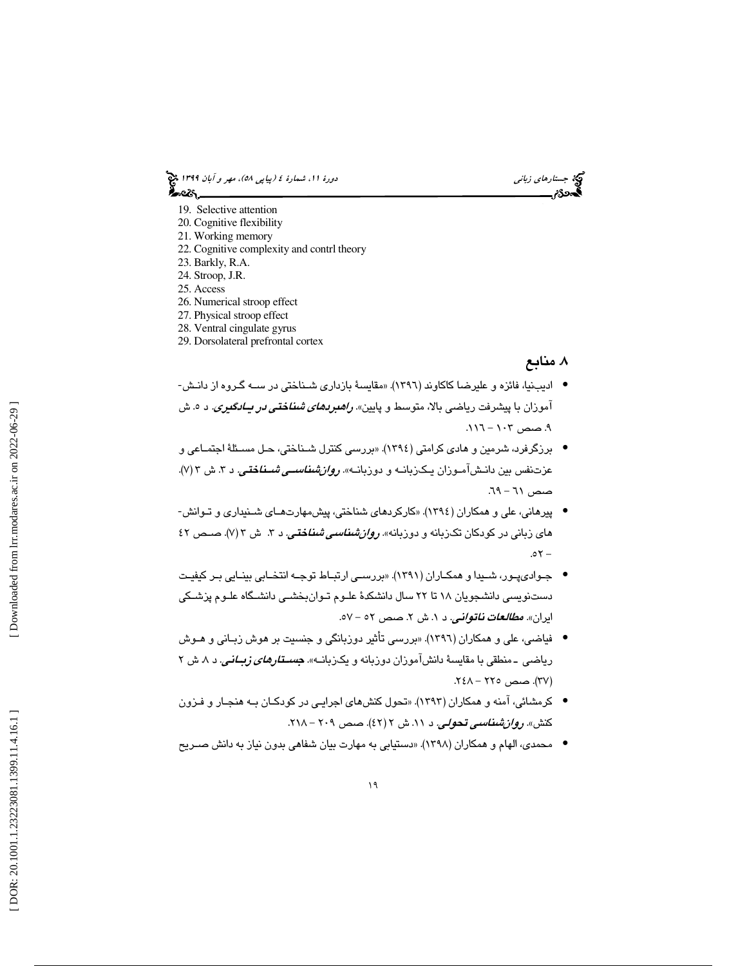دورهٔ ۱۱، شمارهٔ ٤ (پياپي ٥٨)، مهر و آبان ۱۳۹۹ چخ محاصرة

كيخ جست*ارهاي زباني*<br>**محمدد تر** 

- 19. Selective attention
- 20. Cognitive flexibility
- 21. Working memory
- 22. Cognitive complexity and contrl theory
- 23. Barkly, R.A.
- 24. Stroop, J.R.
- 25. Access
- 26. Numerical stroop effect
- 27. Physical stroop effect
- 28. Ventral cingulate gyrus
- 29. Dorsolateral prefrontal cortex

# . 8 منابع

- اديبنيا، فائزه و عليرضا كاكاوند (١٣٩٦). «مقايسهٔ بازداري شـناختي در ســه گـروه از دانـش-آموزان با پيشرفت رياضي بالا، متوسط و پايين». *راهبرد<i>های شناختي در پــادگيری.* **د** ۰. ش ۹. صص ۱۰۳ – ۱۱۱.
- برزگرفرد، شرمین و هادی کرامتی (١٣٩٤). «بررسی کنترل شـناختی، حـل مسـئلهٔ اجتمـاعی و عزتنفس بين دانـش|مــوزان يـكــزبانــه و دوزبانــه». *روان#نناســي شــناختــي. د ۳*. ش ۳/V).  $-19 - 71$ .
- پيرهاني، علي و همكاران ( 1394 «). كاركردهاي شناختي، پيشمهارتهـاي شـنيداري و تـوانش های زبانی در کودکان تکزبانه و دوزبانه»*. روان شناسی شناختی.* د ۳. ش ۳ (۷). صــص ۶۲  $.07 -$
- جـواديپـور، شـيدا و همكـاران ( 1391 «). بررسـي ارتبـاط توجـه انتخـابي بينـايي بـر كيفيـت دستنويسي دانشجويان ١٨ تا ٢٢ سال دانشكدهٔ علـوم تـوانبخشـي دانشـگاه علـوم پزشـكي ايران». *مطالعات ناتواني. د ۱.* ش ۲. صص ٥٢ - ٥٧.
- فياضي، علي و همكاران ( 1396 «). بررسي تأثير دوزبانگي و جنسيت بر هوش زبـاني و هـوش رياضي ـ منطقي با مقايسة دانشآموزان دوزبانه و يكزبانــه». *جسـتارهاي زبــاني.* د ۸ ش ۲ (۳۷). صص ۲۲۵ – ۲٤۸.
- كرمشائي، آمنه و همكاران ( 1393 «). تحول كنشهاي اجرايـي در كودكـان بـه هنجـار و فـزون كنش». رو*ان شناسي تحولي. د ١١.* ش ٢ (٤٢). صص ٢٠٩ - ٢١٨.
- محمدي، الهام و همكاران ( 1398 «). دستيابي به مهارت بيان شفاهي بدون نياز به دانش صـريح •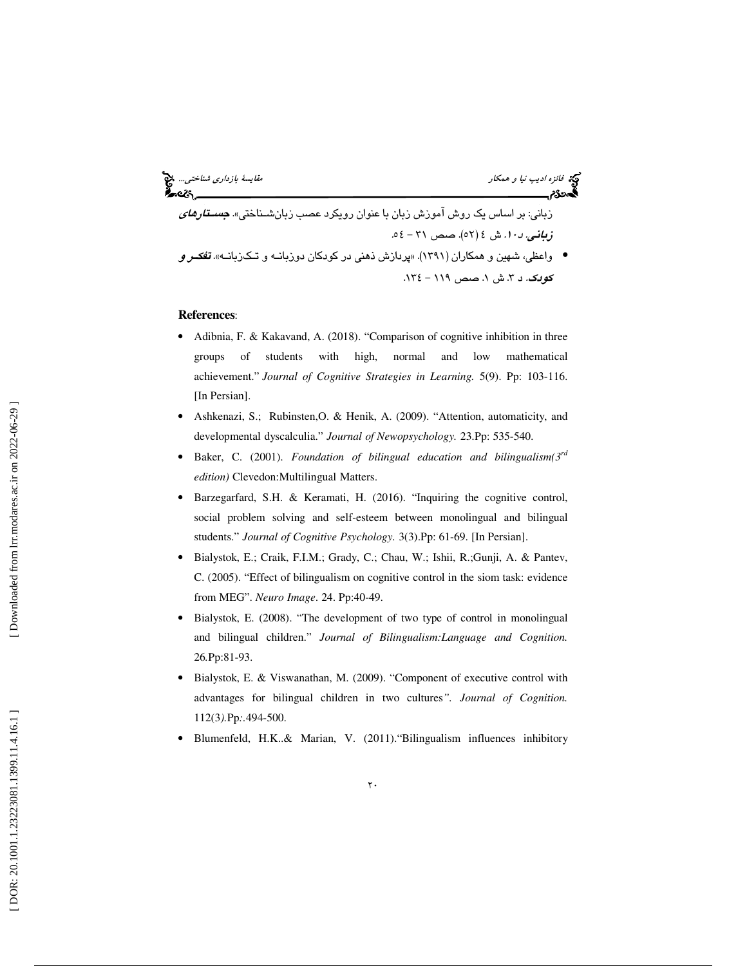زباني: بر اساس يك روش آموزش زبان با عنوان رويكرد عصب زبانشـناختي». *جسـتارهاي* ز*باني. د ۱۰.* ش ٤ (٥٢). صص ٣١ - ٥٤.

• واعظي، شهين و همكاران (١٣٩١). «پردازش ذهني در كودكان دوزبانـه و تـكـزبانـه». **تف***كـر و* ك*وبك.* د ۳. ش ۱. صص ۱۱۹ – ۱۳٤.

#### **References**:

- Adibnia, F. & Kakavand, A. (2018). "Comparison of cognitive inhibition in three groups of students with high, normal and low mathematical achievement." *Journal of Cognitive Strategies in Learning.* 5(9). Pp: 103-116. [In Persian].
- Ashkenazi, S.; Rubinsten,O. & Henik, A. (2009). "Attention, automaticity, and developmental dyscalculia." *Journal of Newopsychology.* 23.Pp: 535-540.
- Baker, C. (2001). *Foundation of bilingual education and bilingualism*( $3^{rd}$ *edition)* Clevedon:Multilingual Matters.
- Barzegarfard, S.H. & Keramati, H. (2016). "Inquiring the cognitive control, social problem solving and self-esteem between monolingual and bilingual students." *Journal of Cognitive Psychology.* 3(3).Pp: 61-69. [In Persian].
- Bialystok, E.; Craik, F.I.M.; Grady, C.; Chau, W.; Ishii, R.;Gunji, A. & Pantev, C. (2005). "Effect of bilingualism on cognitive control in the siom task: evidence from MEG". *Neuro Image*. 24. Pp:40-49.
- Bialystok, E. (2008). "The development of two type of control in monolingual and bilingual children." *Journal of Bilingualism:Language and Cognition.*  26 *.*Pp:81-93.
- Bialystok, E. & Viswanathan, M. (2009). "Component of executive control with advantages for bilingual children in two cultures*". Journal of Cognition.*  112(3*).*Pp*:.*494-500.
- Blumenfeld, H.K..& Marian, V. (2011)."Bilingualism influences inhibitory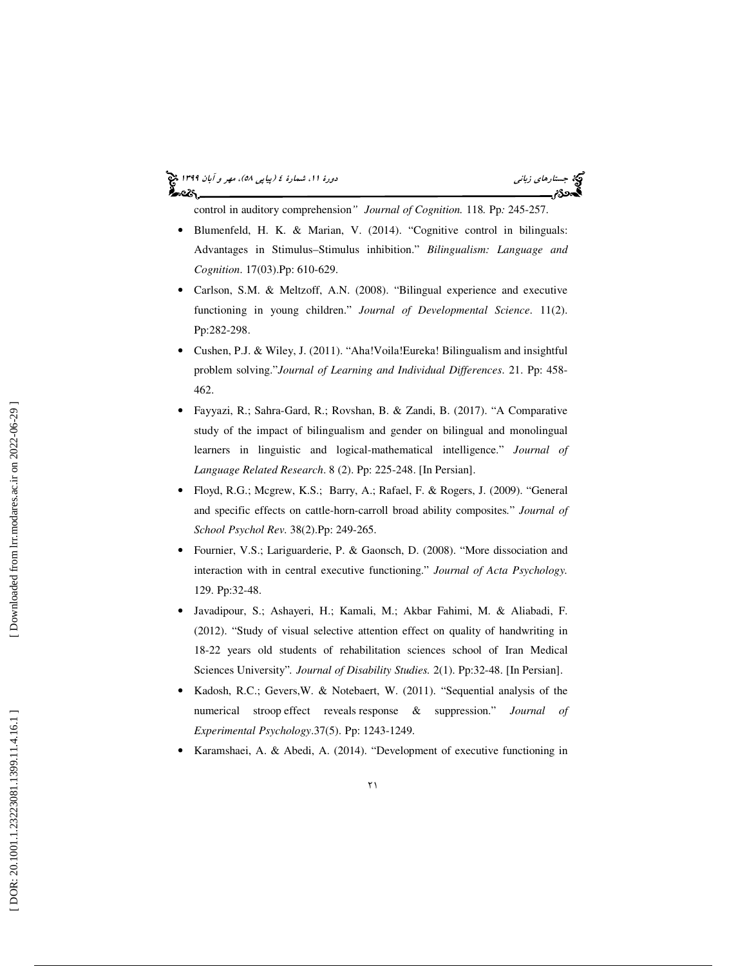### (پياپي 58)، مهر و آبان 1399 جستارهاي زباني دورة ،11 شمارة 4 أحصركم

control in auditory comprehension *" Journal of Cognition.* 118*.* Pp*:* 245-257.

- Blumenfeld, H. K. & Marian, V. (2014). "Cognitive control in bilinguals: Advantages in Stimulus–Stimulus inhibition." *Bilingualism: Language and Cognition*. 17(03).Pp: 610-629.
- Carlson, S.M. & Meltzoff, A.N. (2008). "Bilingual experience and executive functioning in young children." *Journal of Developmental Science*. 11(2). Pp:282-298.
- Cushen, P.J. & Wiley, J. (2011). "Aha!Voila!Eureka! Bilingualism and insightful problem solving."*Journal of Learning and Individual Differences*. 21. Pp: 458- 462.
- Fayyazi, R.; Sahra-Gard, R.; Rovshan, B. & Zandi, B. (2017). "A Comparative study of the impact of bilingualism and gender on bilingual and monolingual learners in linguistic and logical-mathematical intelligence." *Journal of Language Related Research*. 8 (2). Pp: 225-248. [In Persian].
- Floyd, R.G.; Mcgrew, K.S.; Barry, A.; Rafael, F. & Rogers, J. (2009). "General and specific effects on cattle-horn-carroll broad ability composites *.* " *Journal of School Psychol Rev.* 38(2).Pp: 249-265.
- Fournier, V.S.; Lariguarderie, P. & Gaonsch, D. (2008). "More dissociation and interaction with in central executive functioning." *Journal of Acta Psychology.*  129. Pp:32-48.
- Javadipour, S.; Ashayeri, H.; Kamali, M.; Akbar Fahimi, M. & Aliabadi, F. (2012). "Study of visual selective attention effect on quality of handwriting in 18-22 years old students of rehabilitation sciences school of Iran Medical Sciences University"*. Journal of Disability Studies.* 2(1). Pp:32-48. [In Persian].
- Kadosh, R.C.; Gevers,W. & Notebaert, W. (2011). "Sequential analysis of the numerical stroop effect reveals response & suppression." *Journal of Experimental Psychology*.37(5). Pp: 1243-1249.
- Karamshaei, A. & Abedi, A. (2014). "Development of executive functioning in

Downloaded from lrr.modares.ac.ir on 2022-06-29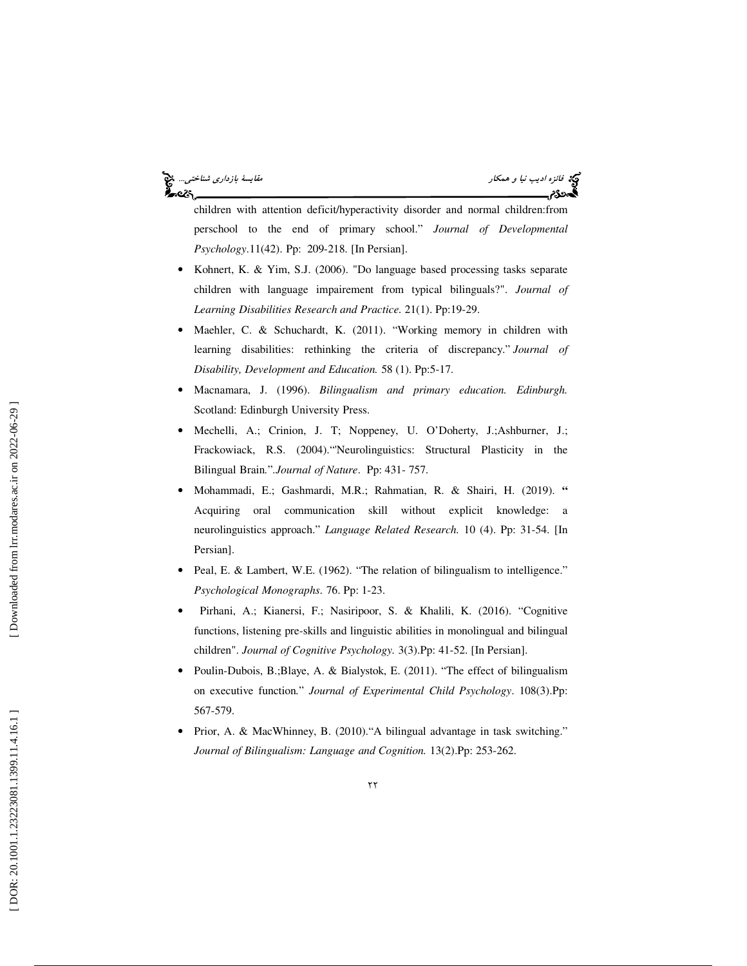## في:<br>في ق*ائزه اديب نيا و همكار* مقايسة بازداري *شناختي...* في ا ಹಿಂದಿ

children with attention deficit/hyperactivity disorder and normal children:from perschool to the end of primary school." *Journal of Developmental Psychology*.11(42). Pp: 209-218. [In Persian].

- Kohnert, K. & Yim, S.J. (2006). "Do language based processing tasks separate children with language impairement from typical bilinguals?". *Journal of Learning Disabilities Research and Practice.* 21(1). Pp:19-29.
- Maehler, C. & Schuchardt, K. (2011). "Working memory in children with learning disabilities: rethinking the criteria of discrepancy." *Journal of Disability, Development and Education.* 58 (1). Pp:5-17.
- Macnamara, J. (1996). *Bilingualism and primary education. Edinburgh.* Scotland: Edinburgh University Press.
- Mechelli, A.; Crinion, J. T; Noppeney, U. O'Doherty, J.;Ashburner, J.; Frackowiack, R.S. (2004)."'Neurolinguistics: Structural Plasticity in the Bilingual Brain *.* "*.Journal of Nature*. Pp: 431- 757.
- Mohammadi, E.; Gashmardi, M.R.; Rahmatian, R. & Shairi, H. (2019). **"** Acquiring oral communication skill without explicit knowledge: a neurolinguistics approach." *Language Related Research.* 10 (4). Pp: 31-54. [In Persian].
- Peal, E. & Lambert, W.E. (1962). "The relation of bilingualism to intelligence." *Psychological Monographs*. 76. Pp: 1-23.
- Pirhani, A.; Kianersi, F.; Nasiripoor, S. & Khalili, K. (2016). "Cognitive functions, listening pre-skills and linguistic abilities in monolingual and bilingual children". *Journal of Cognitive Psychology.* 3(3).Pp: 41-52. [In Persian].
- Poulin-Dubois, B.;Blaye, A. & Bialystok, E. (2011). "The effect of bilingualism on executive function *.* " *Journal of Experimental Child Psychology*. 108(3).Pp: 567-579.
- Prior, A. & MacWhinney, B. (2010)."A bilingual advantage in task switching." *Journal of Bilingualism: Language and Cognition.* 13(2).Pp: 253-262.